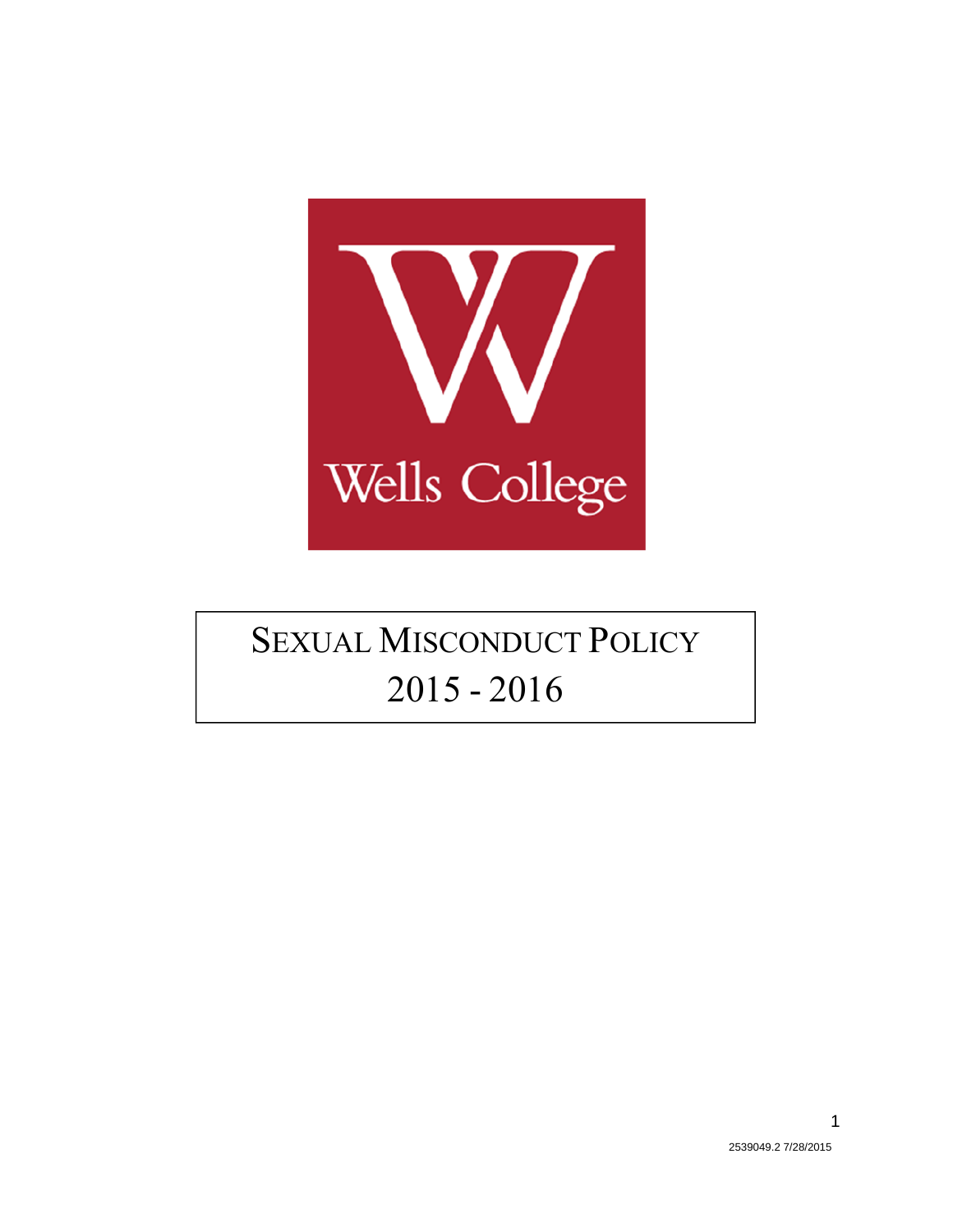

# **SEXUAL MISCONDUCT POLICY** 2015 - 2016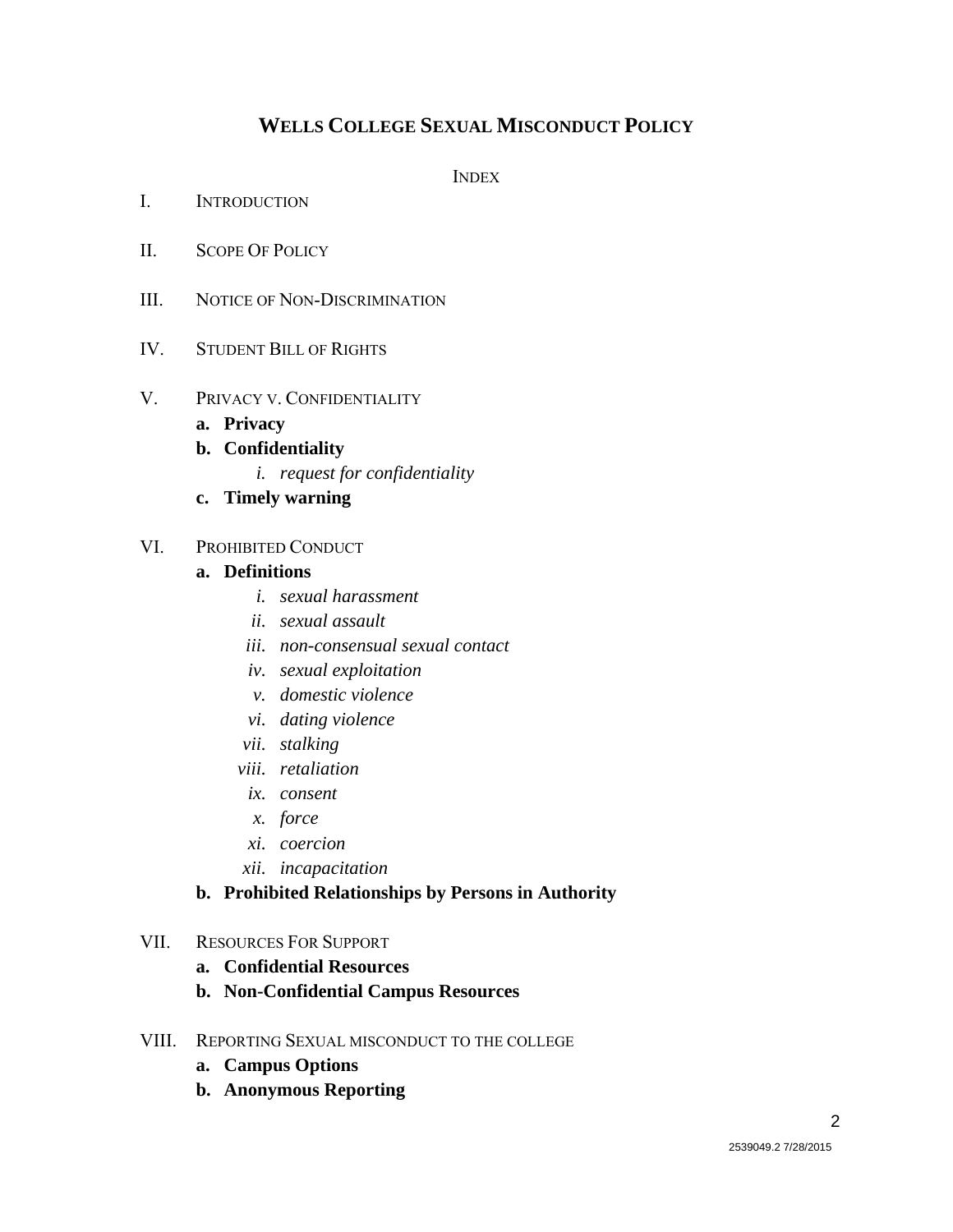### **WELLS COLLEGE SEXUAL MISCONDUCT POLICY**

**INDEX** 

- I. INTRODUCTION
- II. SCOPE OF POLICY
- III. NOTICE OF NON-DISCRIMINATION
- IV. STUDENT BILL OF RIGHTS
- V. PRIVACY V. CONFIDENTIALITY
	- **a. Privacy**
	- **b. Confidentiality** 
		- *i. request for confidentiality*
	- **c. Timely warning**

#### VI. PROHIBITED CONDUCT

#### **a. Definitions**

- *i. sexual harassment*
- *ii. sexual assault*
- *iii. non-consensual sexual contact*
- *iv. sexual exploitation*
- *v. domestic violence*
- *vi. dating violence*
- *vii. stalking*
- *viii. retaliation*
- *ix. consent*
- *x. force*
- *xi. coercion*
- *xii. incapacitation*

#### **b. Prohibited Relationships by Persons in Authority**

#### VII. RESOURCES FOR SUPPORT

- **a. Confidential Resources**
- **b. Non-Confidential Campus Resources**
- VIII. REPORTING SEXUAL MISCONDUCT TO THE COLLEGE
	- **a. Campus Options**
	- **b. Anonymous Reporting**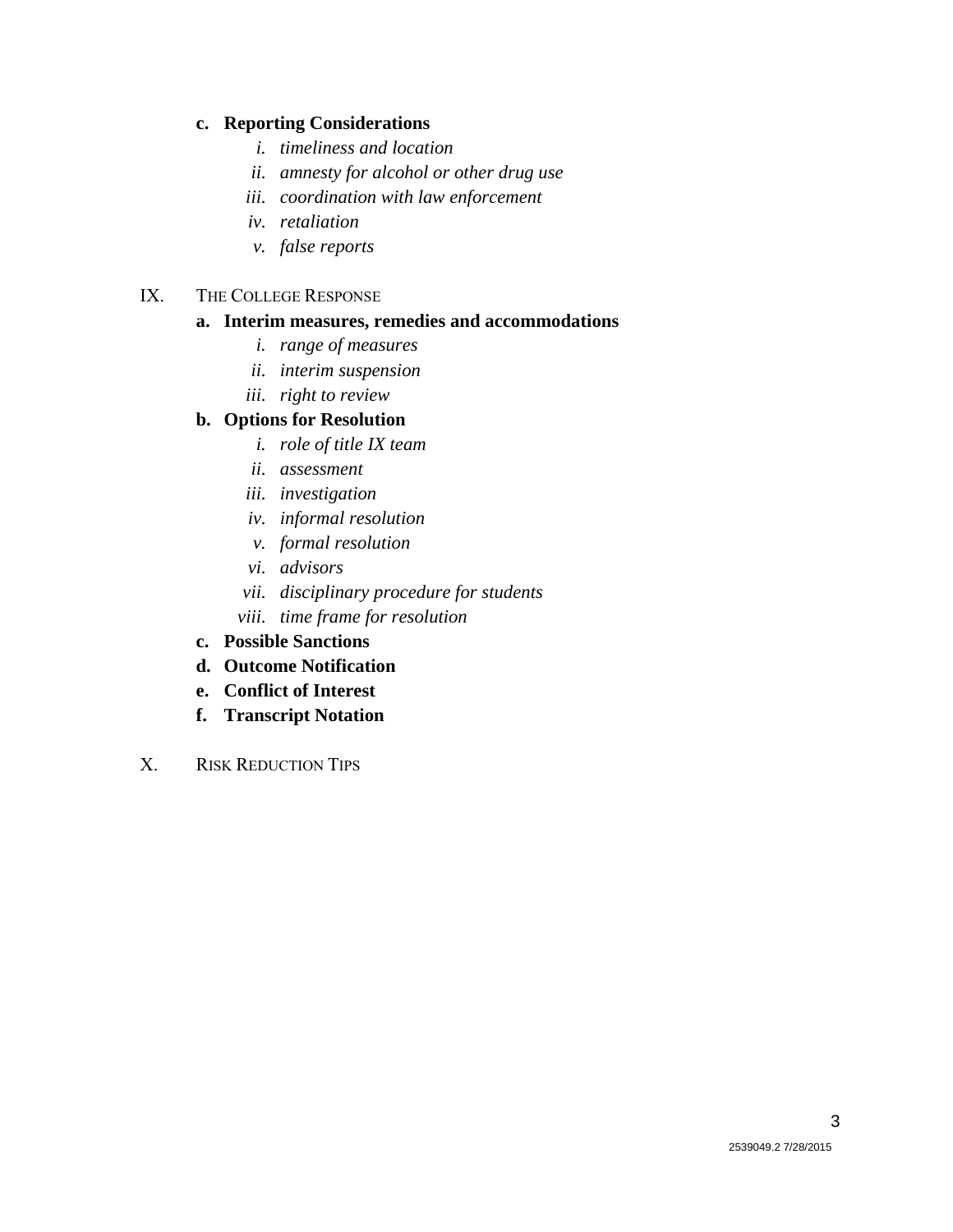#### **c. Reporting Considerations**

- *i. timeliness and location*
- *ii. amnesty for alcohol or other drug use*
- *iii. coordination with law enforcement*
- *iv. retaliation*
- *v. false reports*

#### IX. THE COLLEGE RESPONSE

#### **a. Interim measures, remedies and accommodations**

- *i. range of measures*
- *ii. interim suspension*
- *iii. right to review*

#### **b. Options for Resolution**

- *i. role of title IX team*
- *ii. assessment*
- *iii. investigation*
- *iv. informal resolution*
- *v. formal resolution*
- *vi. advisors*
- *vii. disciplinary procedure for students*
- *viii. time frame for resolution*
- **c. Possible Sanctions**
- **d. Outcome Notification**
- **e. Conflict of Interest**
- **f. Transcript Notation**
- X. RISK REDUCTION TIPS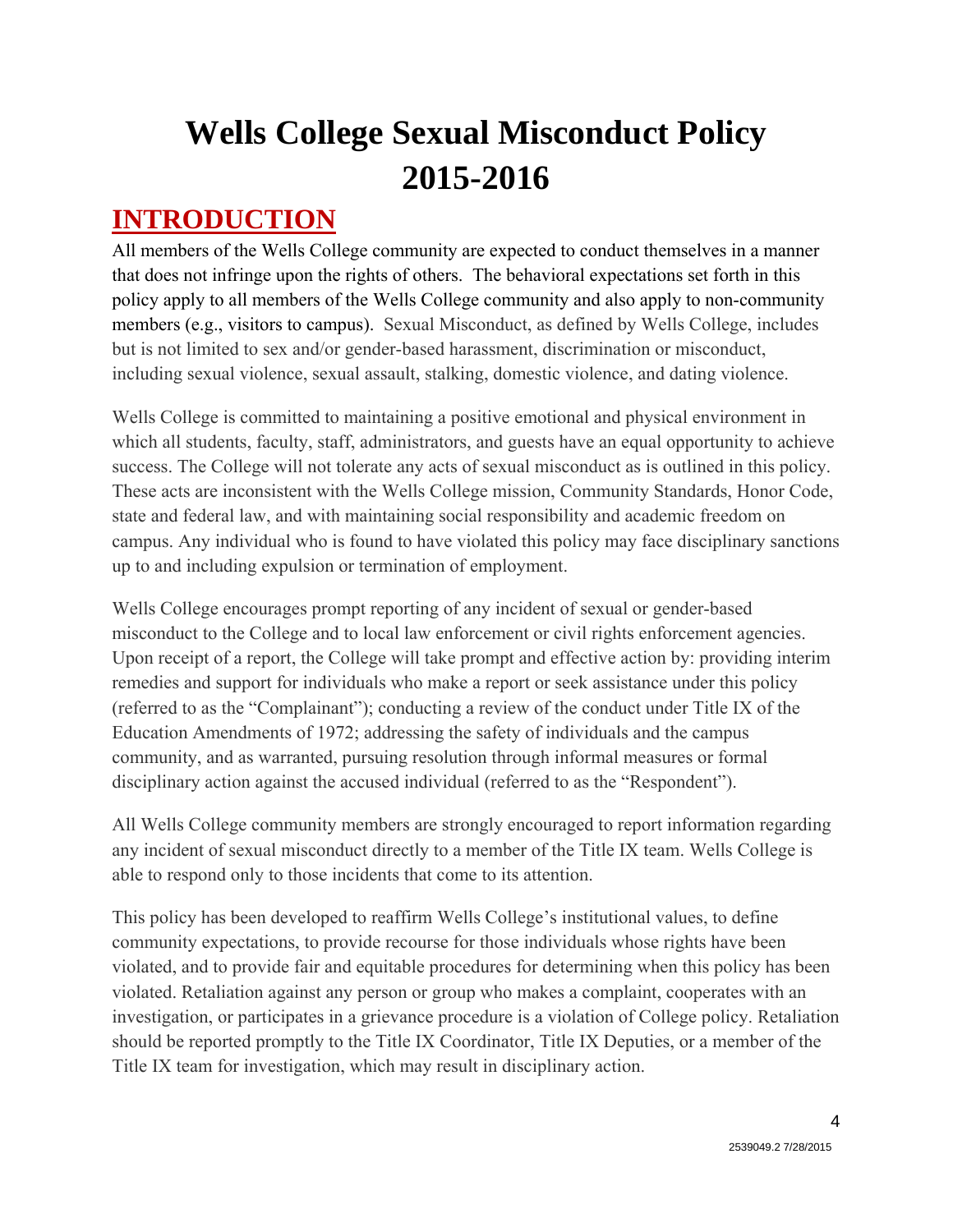# **Wells College Sexual Misconduct Policy 2015-2016**

### **INTRODUCTION**

All members of the Wells College community are expected to conduct themselves in a manner that does not infringe upon the rights of others. The behavioral expectations set forth in this policy apply to all members of the Wells College community and also apply to non-community members (e.g., visitors to campus). Sexual Misconduct, as defined by Wells College, includes but is not limited to sex and/or gender-based harassment, discrimination or misconduct, including sexual violence, sexual assault, stalking, domestic violence, and dating violence.

Wells College is committed to maintaining a positive emotional and physical environment in which all students, faculty, staff, administrators, and guests have an equal opportunity to achieve success. The College will not tolerate any acts of sexual misconduct as is outlined in this policy. These acts are inconsistent with the Wells College mission, Community Standards, Honor Code, state and federal law, and with maintaining social responsibility and academic freedom on campus. Any individual who is found to have violated this policy may face disciplinary sanctions up to and including expulsion or termination of employment.

Wells College encourages prompt reporting of any incident of sexual or gender-based misconduct to the College and to local law enforcement or civil rights enforcement agencies. Upon receipt of a report, the College will take prompt and effective action by: providing interim remedies and support for individuals who make a report or seek assistance under this policy (referred to as the "Complainant"); conducting a review of the conduct under Title IX of the Education Amendments of 1972; addressing the safety of individuals and the campus community, and as warranted, pursuing resolution through informal measures or formal disciplinary action against the accused individual (referred to as the "Respondent").

All Wells College community members are strongly encouraged to report information regarding any incident of sexual misconduct directly to a member of the Title IX team. Wells College is able to respond only to those incidents that come to its attention.

This policy has been developed to reaffirm Wells College's institutional values, to define community expectations, to provide recourse for those individuals whose rights have been violated, and to provide fair and equitable procedures for determining when this policy has been violated. Retaliation against any person or group who makes a complaint, cooperates with an investigation, or participates in a grievance procedure is a violation of College policy. Retaliation should be reported promptly to the Title IX Coordinator, Title IX Deputies, or a member of the Title IX team for investigation, which may result in disciplinary action.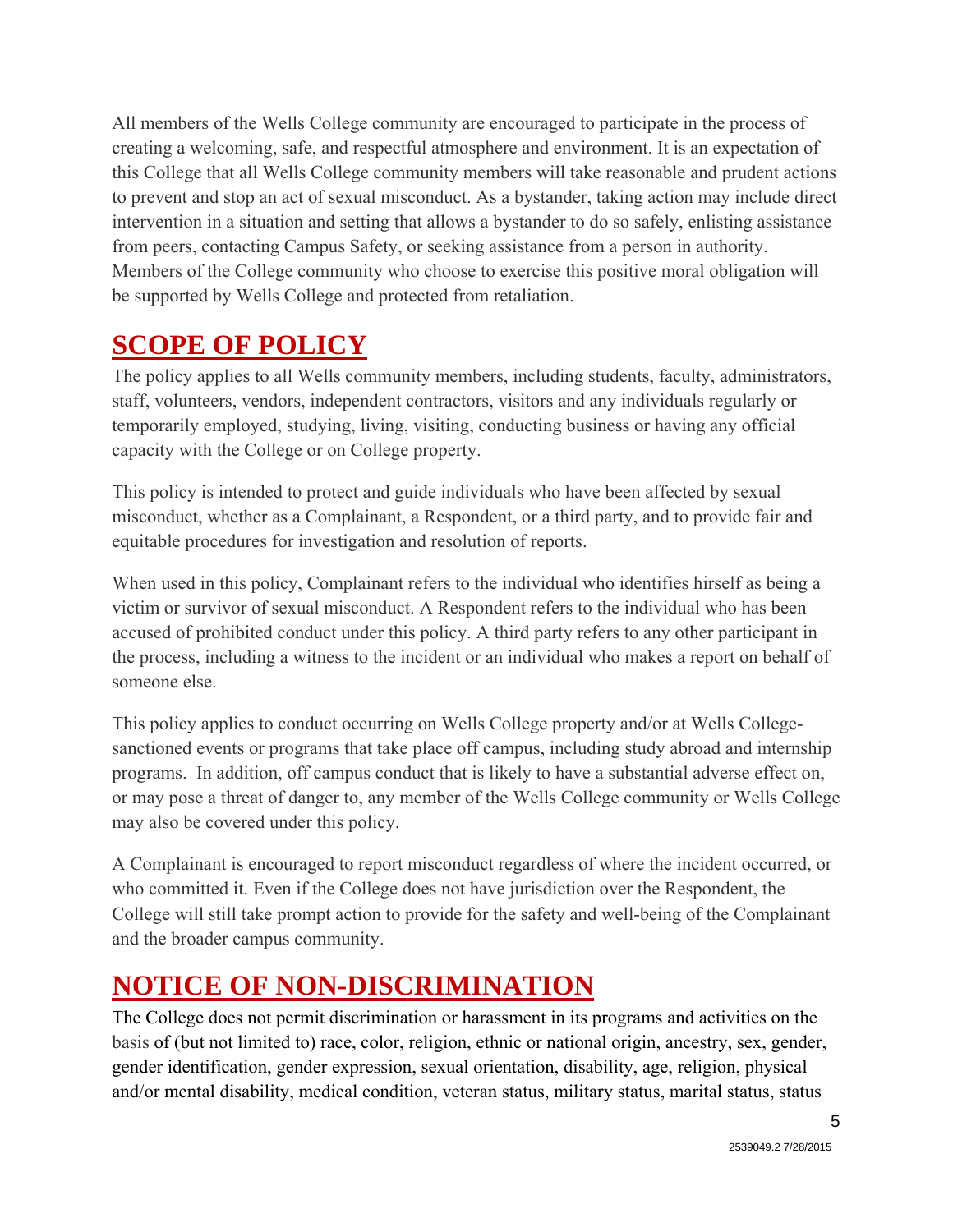All members of the Wells College community are encouraged to participate in the process of creating a welcoming, safe, and respectful atmosphere and environment. It is an expectation of this College that all Wells College community members will take reasonable and prudent actions to prevent and stop an act of sexual misconduct. As a bystander, taking action may include direct intervention in a situation and setting that allows a bystander to do so safely, enlisting assistance from peers, contacting Campus Safety, or seeking assistance from a person in authority. Members of the College community who choose to exercise this positive moral obligation will be supported by Wells College and protected from retaliation.

## **SCOPE OF POLICY**

The policy applies to all Wells community members, including students, faculty, administrators, staff, volunteers, vendors, independent contractors, visitors and any individuals regularly or temporarily employed, studying, living, visiting, conducting business or having any official capacity with the College or on College property.

This policy is intended to protect and guide individuals who have been affected by sexual misconduct, whether as a Complainant, a Respondent, or a third party, and to provide fair and equitable procedures for investigation and resolution of reports.

When used in this policy, Complainant refers to the individual who identifies hirself as being a victim or survivor of sexual misconduct. A Respondent refers to the individual who has been accused of prohibited conduct under this policy. A third party refers to any other participant in the process, including a witness to the incident or an individual who makes a report on behalf of someone else.

This policy applies to conduct occurring on Wells College property and/or at Wells Collegesanctioned events or programs that take place off campus, including study abroad and internship programs. In addition, off campus conduct that is likely to have a substantial adverse effect on, or may pose a threat of danger to, any member of the Wells College community or Wells College may also be covered under this policy.

A Complainant is encouraged to report misconduct regardless of where the incident occurred, or who committed it. Even if the College does not have jurisdiction over the Respondent, the College will still take prompt action to provide for the safety and well-being of the Complainant and the broader campus community.

## **NOTICE OF NON-DISCRIMINATION**

The College does not permit discrimination or harassment in its programs and activities on the basis of (but not limited to) race, color, religion, ethnic or national origin, ancestry, sex, gender, gender identification, gender expression, sexual orientation, disability, age, religion, physical and/or mental disability, medical condition, veteran status, military status, marital status, status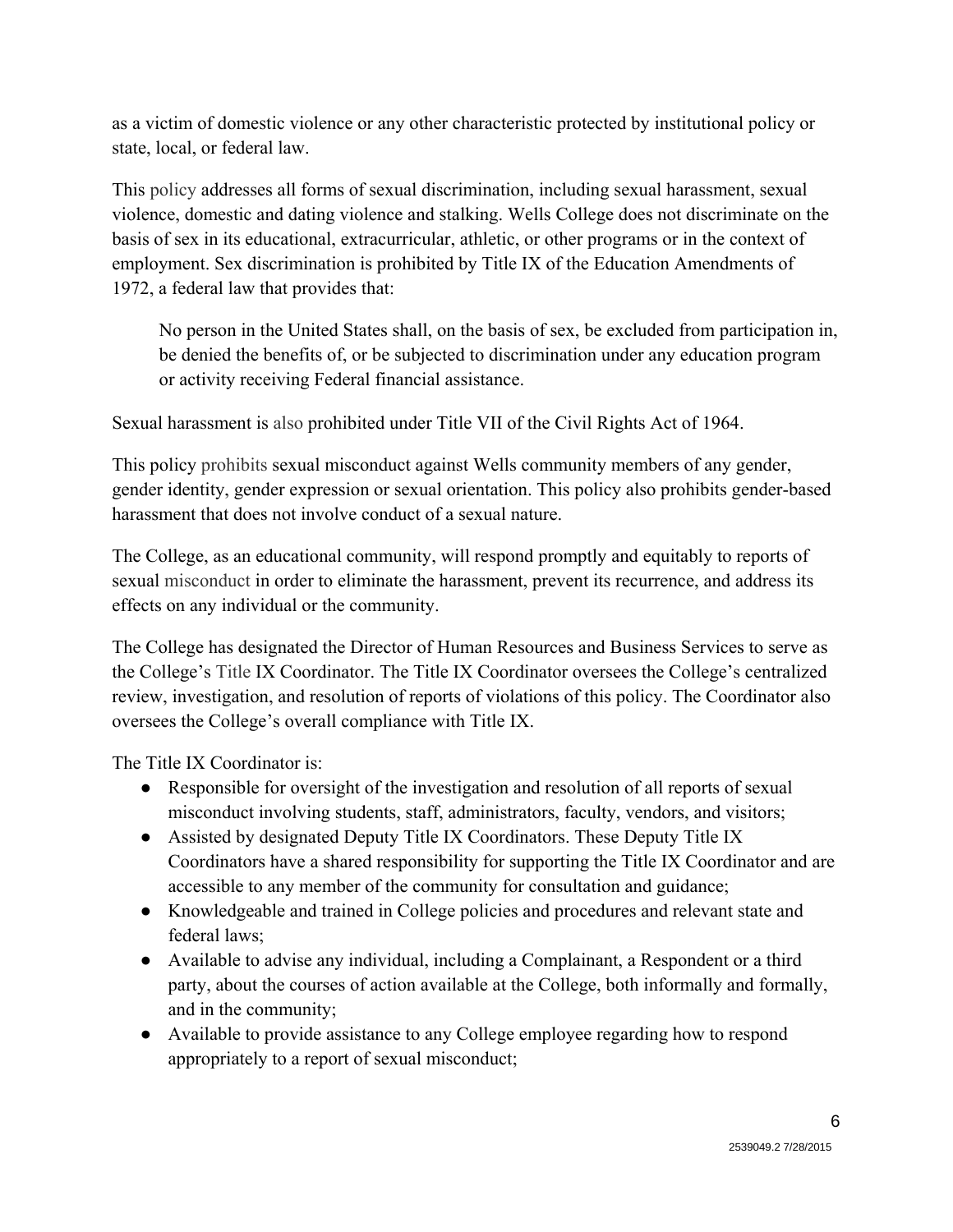as a victim of domestic violence or any other characteristic protected by institutional policy or state, local, or federal law.

This policy addresses all forms of sexual discrimination, including sexual harassment, sexual violence, domestic and dating violence and stalking. Wells College does not discriminate on the basis of sex in its educational, extracurricular, athletic, or other programs or in the context of employment. Sex discrimination is prohibited by Title IX of the Education Amendments of 1972, a federal law that provides that:

No person in the United States shall, on the basis of sex, be excluded from participation in, be denied the benefits of, or be subjected to discrimination under any education program or activity receiving Federal financial assistance.

Sexual harassment is also prohibited under Title VII of the Civil Rights Act of 1964.

This policy prohibits sexual misconduct against Wells community members of any gender, gender identity, gender expression or sexual orientation. This policy also prohibits gender-based harassment that does not involve conduct of a sexual nature.

The College, as an educational community, will respond promptly and equitably to reports of sexual misconduct in order to eliminate the harassment, prevent its recurrence, and address its effects on any individual or the community.

The College has designated the Director of Human Resources and Business Services to serve as the College's Title IX Coordinator. The Title IX Coordinator oversees the College's centralized review, investigation, and resolution of reports of violations of this policy. The Coordinator also oversees the College's overall compliance with Title IX.

The Title IX Coordinator is:

- Responsible for oversight of the investigation and resolution of all reports of sexual misconduct involving students, staff, administrators, faculty, vendors, and visitors;
- Assisted by designated Deputy Title IX Coordinators. These Deputy Title IX Coordinators have a shared responsibility for supporting the Title IX Coordinator and are accessible to any member of the community for consultation and guidance;
- Knowledgeable and trained in College policies and procedures and relevant state and federal laws;
- Available to advise any individual, including a Complainant, a Respondent or a third party, about the courses of action available at the College, both informally and formally, and in the community;
- Available to provide assistance to any College employee regarding how to respond appropriately to a report of sexual misconduct;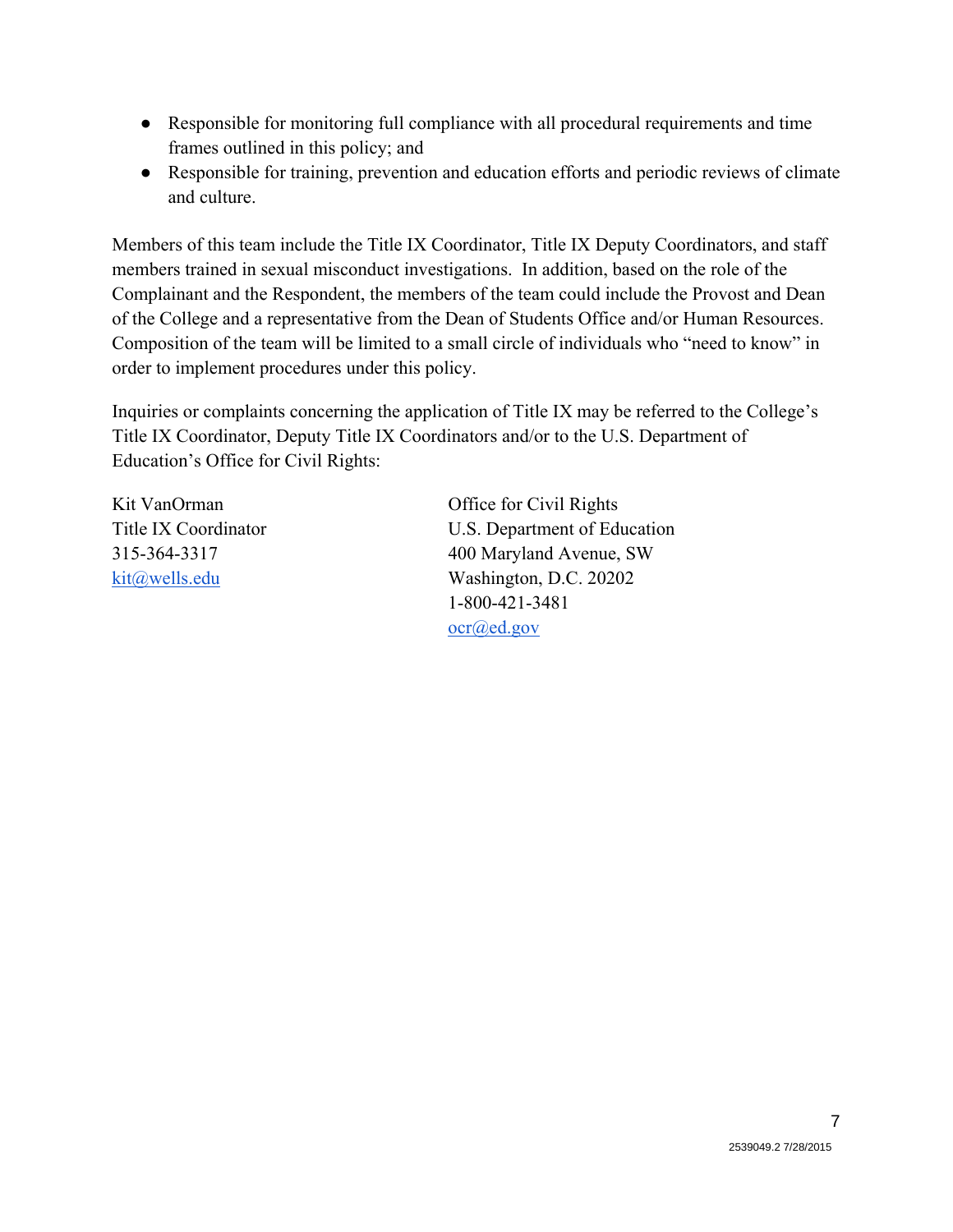- Responsible for monitoring full compliance with all procedural requirements and time frames outlined in this policy; and
- Responsible for training, prevention and education efforts and periodic reviews of climate and culture.

Members of this team include the Title IX Coordinator, Title IX Deputy Coordinators, and staff members trained in sexual misconduct investigations. In addition, based on the role of the Complainant and the Respondent, the members of the team could include the Provost and Dean of the College and a representative from the Dean of Students Office and/or Human Resources. Composition of the team will be limited to a small circle of individuals who "need to know" in order to implement procedures under this policy.

Inquiries or complaints concerning the application of Title IX may be referred to the College's Title IX Coordinator, Deputy Title IX Coordinators and/or to the U.S. Department of Education's Office for Civil Rights:

Kit VanOrman Office for Civil Rights Title IX Coordinator U.S. Department of Education 315-364-3317 400 Maryland Avenue, SW kit@wells.edu Washington, D.C. 20202 1-800-421-3481 ocr@ed.gov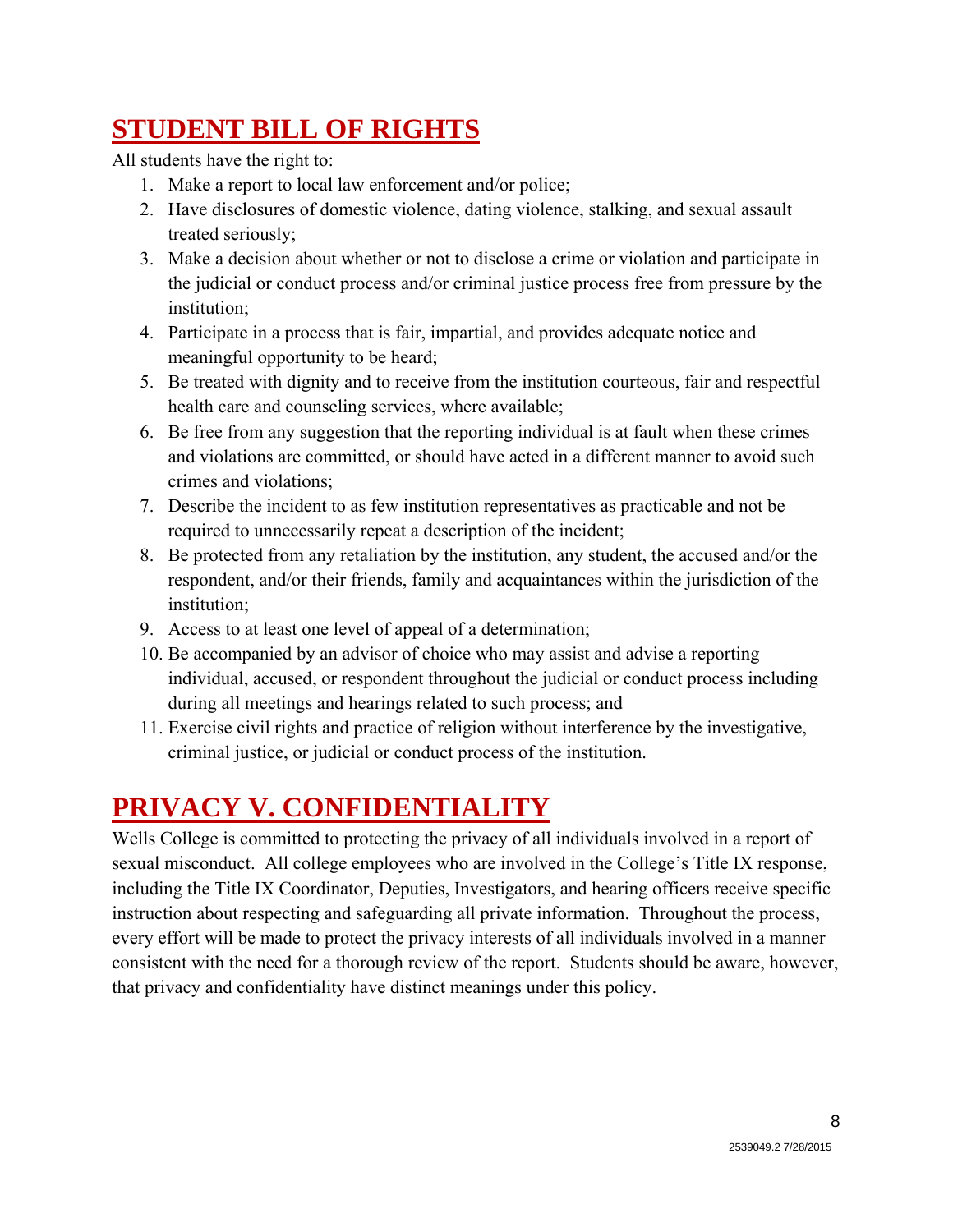# **STUDENT BILL OF RIGHTS**

All students have the right to:

- 1. Make a report to local law enforcement and/or police;
- 2. Have disclosures of domestic violence, dating violence, stalking, and sexual assault treated seriously;
- 3. Make a decision about whether or not to disclose a crime or violation and participate in the judicial or conduct process and/or criminal justice process free from pressure by the institution;
- 4. Participate in a process that is fair, impartial, and provides adequate notice and meaningful opportunity to be heard;
- 5. Be treated with dignity and to receive from the institution courteous, fair and respectful health care and counseling services, where available;
- 6. Be free from any suggestion that the reporting individual is at fault when these crimes and violations are committed, or should have acted in a different manner to avoid such crimes and violations;
- 7. Describe the incident to as few institution representatives as practicable and not be required to unnecessarily repeat a description of the incident;
- 8. Be protected from any retaliation by the institution, any student, the accused and/or the respondent, and/or their friends, family and acquaintances within the jurisdiction of the institution;
- 9. Access to at least one level of appeal of a determination;
- 10. Be accompanied by an advisor of choice who may assist and advise a reporting individual, accused, or respondent throughout the judicial or conduct process including during all meetings and hearings related to such process; and
- 11. Exercise civil rights and practice of religion without interference by the investigative, criminal justice, or judicial or conduct process of the institution.

# **PRIVACY V. CONFIDENTIALITY**

Wells College is committed to protecting the privacy of all individuals involved in a report of sexual misconduct. All college employees who are involved in the College's Title IX response, including the Title IX Coordinator, Deputies, Investigators, and hearing officers receive specific instruction about respecting and safeguarding all private information. Throughout the process, every effort will be made to protect the privacy interests of all individuals involved in a manner consistent with the need for a thorough review of the report. Students should be aware, however, that privacy and confidentiality have distinct meanings under this policy.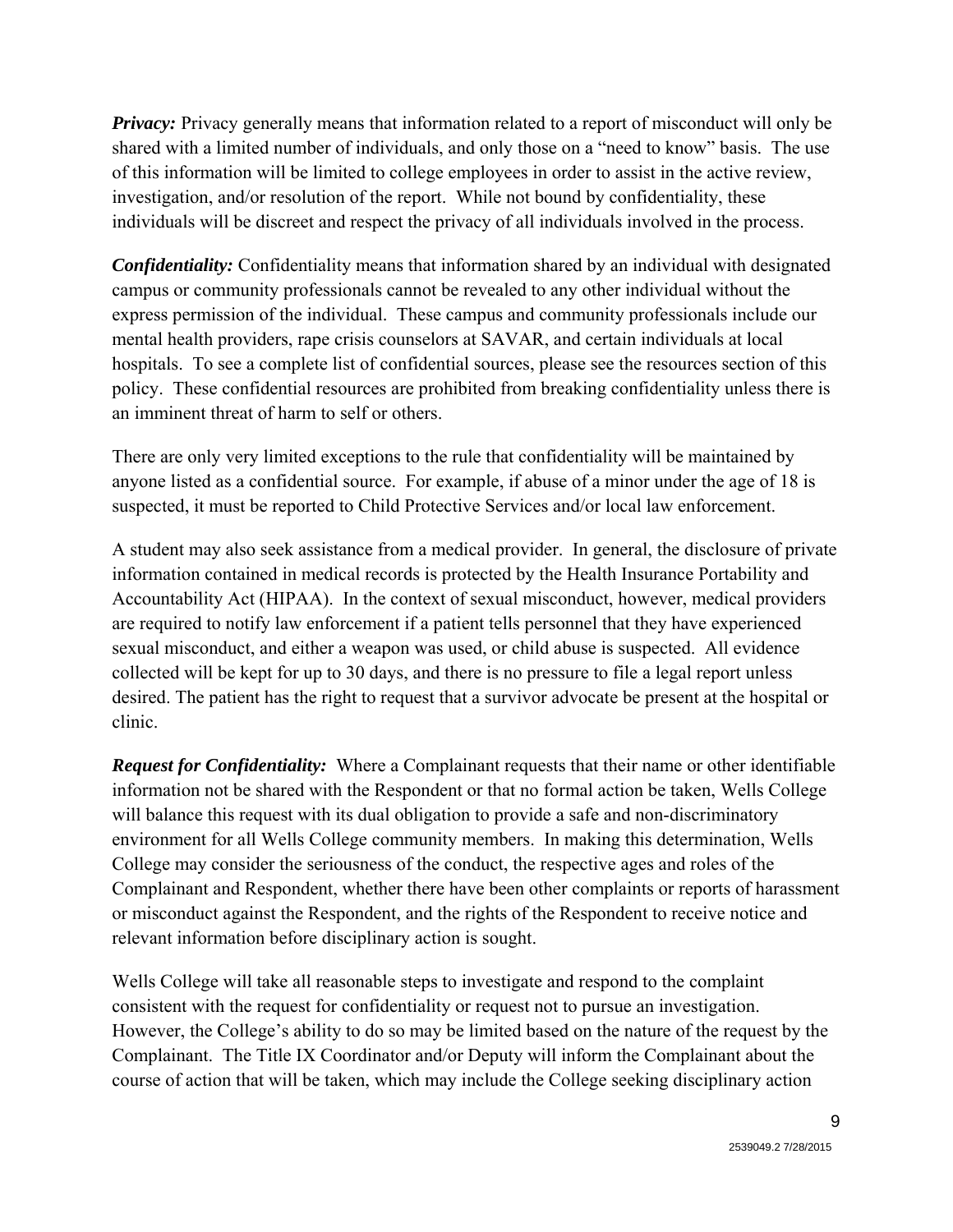*Privacy:* Privacy generally means that information related to a report of misconduct will only be shared with a limited number of individuals, and only those on a "need to know" basis. The use of this information will be limited to college employees in order to assist in the active review, investigation, and/or resolution of the report. While not bound by confidentiality, these individuals will be discreet and respect the privacy of all individuals involved in the process.

*Confidentiality:* Confidentiality means that information shared by an individual with designated campus or community professionals cannot be revealed to any other individual without the express permission of the individual. These campus and community professionals include our mental health providers, rape crisis counselors at SAVAR, and certain individuals at local hospitals. To see a complete list of confidential sources, please see the resources section of this policy. These confidential resources are prohibited from breaking confidentiality unless there is an imminent threat of harm to self or others.

There are only very limited exceptions to the rule that confidentiality will be maintained by anyone listed as a confidential source. For example, if abuse of a minor under the age of 18 is suspected, it must be reported to Child Protective Services and/or local law enforcement.

A student may also seek assistance from a medical provider. In general, the disclosure of private information contained in medical records is protected by the Health Insurance Portability and Accountability Act (HIPAA). In the context of sexual misconduct, however, medical providers are required to notify law enforcement if a patient tells personnel that they have experienced sexual misconduct, and either a weapon was used, or child abuse is suspected. All evidence collected will be kept for up to 30 days, and there is no pressure to file a legal report unless desired. The patient has the right to request that a survivor advocate be present at the hospital or clinic.

*Request for Confidentiality:* Where a Complainant requests that their name or other identifiable information not be shared with the Respondent or that no formal action be taken, Wells College will balance this request with its dual obligation to provide a safe and non-discriminatory environment for all Wells College community members. In making this determination, Wells College may consider the seriousness of the conduct, the respective ages and roles of the Complainant and Respondent, whether there have been other complaints or reports of harassment or misconduct against the Respondent, and the rights of the Respondent to receive notice and relevant information before disciplinary action is sought.

Wells College will take all reasonable steps to investigate and respond to the complaint consistent with the request for confidentiality or request not to pursue an investigation. However, the College's ability to do so may be limited based on the nature of the request by the Complainant. The Title IX Coordinator and/or Deputy will inform the Complainant about the course of action that will be taken, which may include the College seeking disciplinary action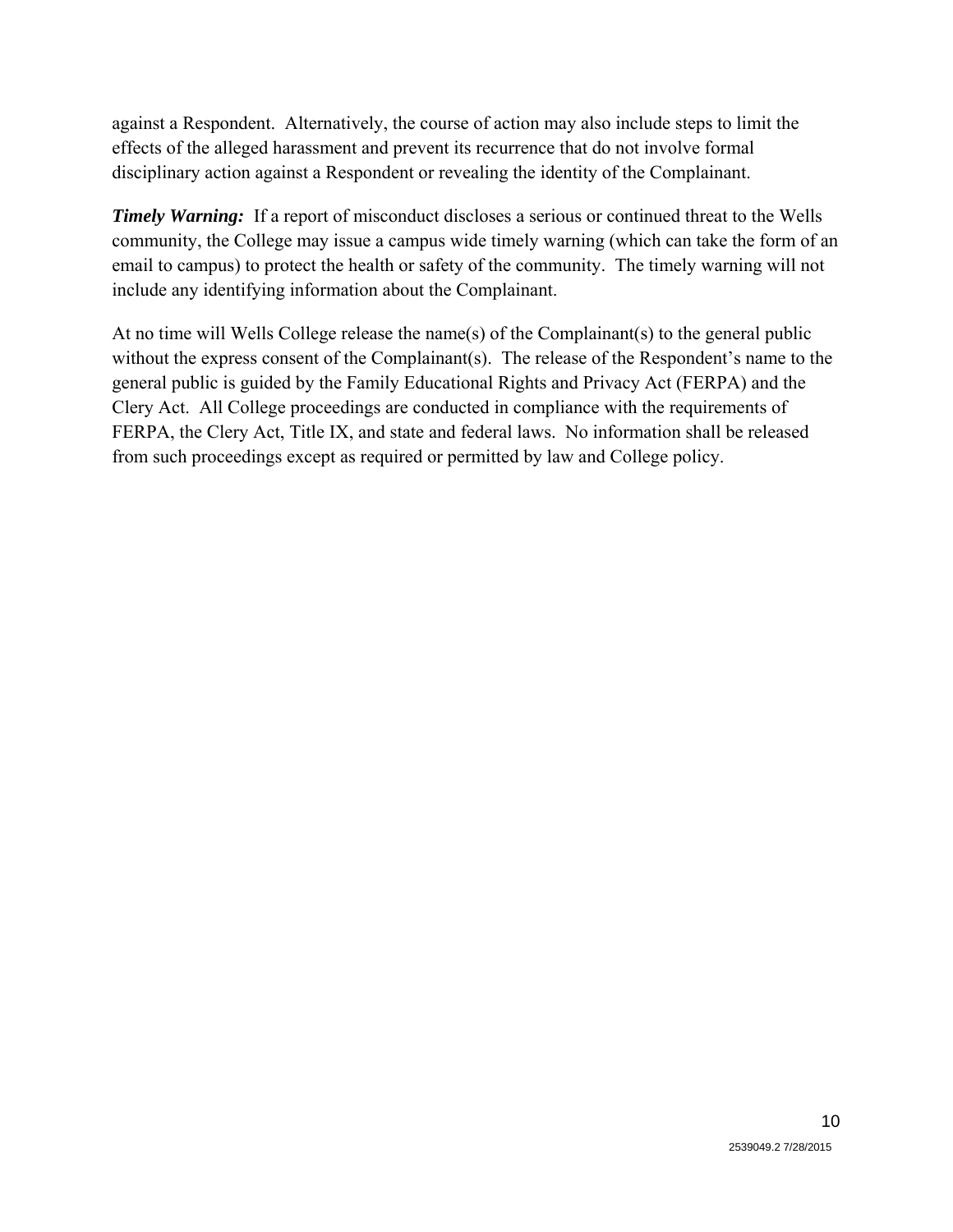against a Respondent. Alternatively, the course of action may also include steps to limit the effects of the alleged harassment and prevent its recurrence that do not involve formal disciplinary action against a Respondent or revealing the identity of the Complainant.

*Timely Warning:* If a report of misconduct discloses a serious or continued threat to the Wells community, the College may issue a campus wide timely warning (which can take the form of an email to campus) to protect the health or safety of the community. The timely warning will not include any identifying information about the Complainant.

At no time will Wells College release the name(s) of the Complainant(s) to the general public without the express consent of the Complainant(s). The release of the Respondent's name to the general public is guided by the Family Educational Rights and Privacy Act (FERPA) and the Clery Act. All College proceedings are conducted in compliance with the requirements of FERPA, the Clery Act, Title IX, and state and federal laws. No information shall be released from such proceedings except as required or permitted by law and College policy.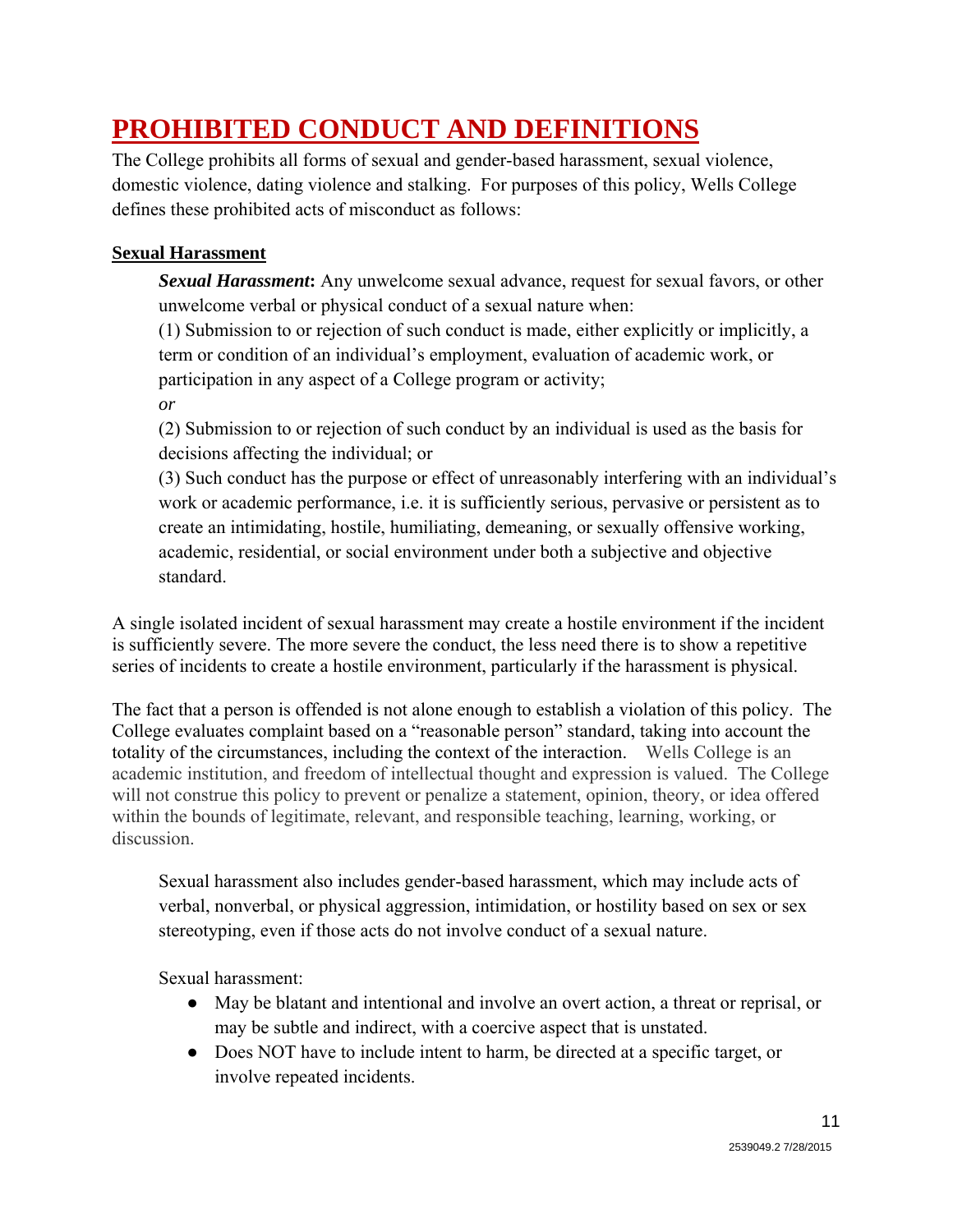# **PROHIBITED CONDUCT AND DEFINITIONS**

The College prohibits all forms of sexual and gender-based harassment, sexual violence, domestic violence, dating violence and stalking. For purposes of this policy, Wells College defines these prohibited acts of misconduct as follows:

### **Sexual Harassment**

*Sexual Harassment***:** Any unwelcome sexual advance, request for sexual favors, or other unwelcome verbal or physical conduct of a sexual nature when:

(1) Submission to or rejection of such conduct is made, either explicitly or implicitly, a term or condition of an individual's employment, evaluation of academic work, or participation in any aspect of a College program or activity;

*or*

(2) Submission to or rejection of such conduct by an individual is used as the basis for decisions affecting the individual; or

(3) Such conduct has the purpose or effect of unreasonably interfering with an individual's work or academic performance, i.e. it is sufficiently serious, pervasive or persistent as to create an intimidating, hostile, humiliating, demeaning, or sexually offensive working, academic, residential, or social environment under both a subjective and objective standard.

A single isolated incident of sexual harassment may create a hostile environment if the incident is sufficiently severe. The more severe the conduct, the less need there is to show a repetitive series of incidents to create a hostile environment, particularly if the harassment is physical.

The fact that a person is offended is not alone enough to establish a violation of this policy. The College evaluates complaint based on a "reasonable person" standard, taking into account the totality of the circumstances, including the context of the interaction. Wells College is an academic institution, and freedom of intellectual thought and expression is valued. The College will not construe this policy to prevent or penalize a statement, opinion, theory, or idea offered within the bounds of legitimate, relevant, and responsible teaching, learning, working, or discussion.

Sexual harassment also includes gender-based harassment, which may include acts of verbal, nonverbal, or physical aggression, intimidation, or hostility based on sex or sex stereotyping, even if those acts do not involve conduct of a sexual nature.

Sexual harassment:

- May be blatant and intentional and involve an overt action, a threat or reprisal, or may be subtle and indirect, with a coercive aspect that is unstated.
- Does NOT have to include intent to harm, be directed at a specific target, or involve repeated incidents.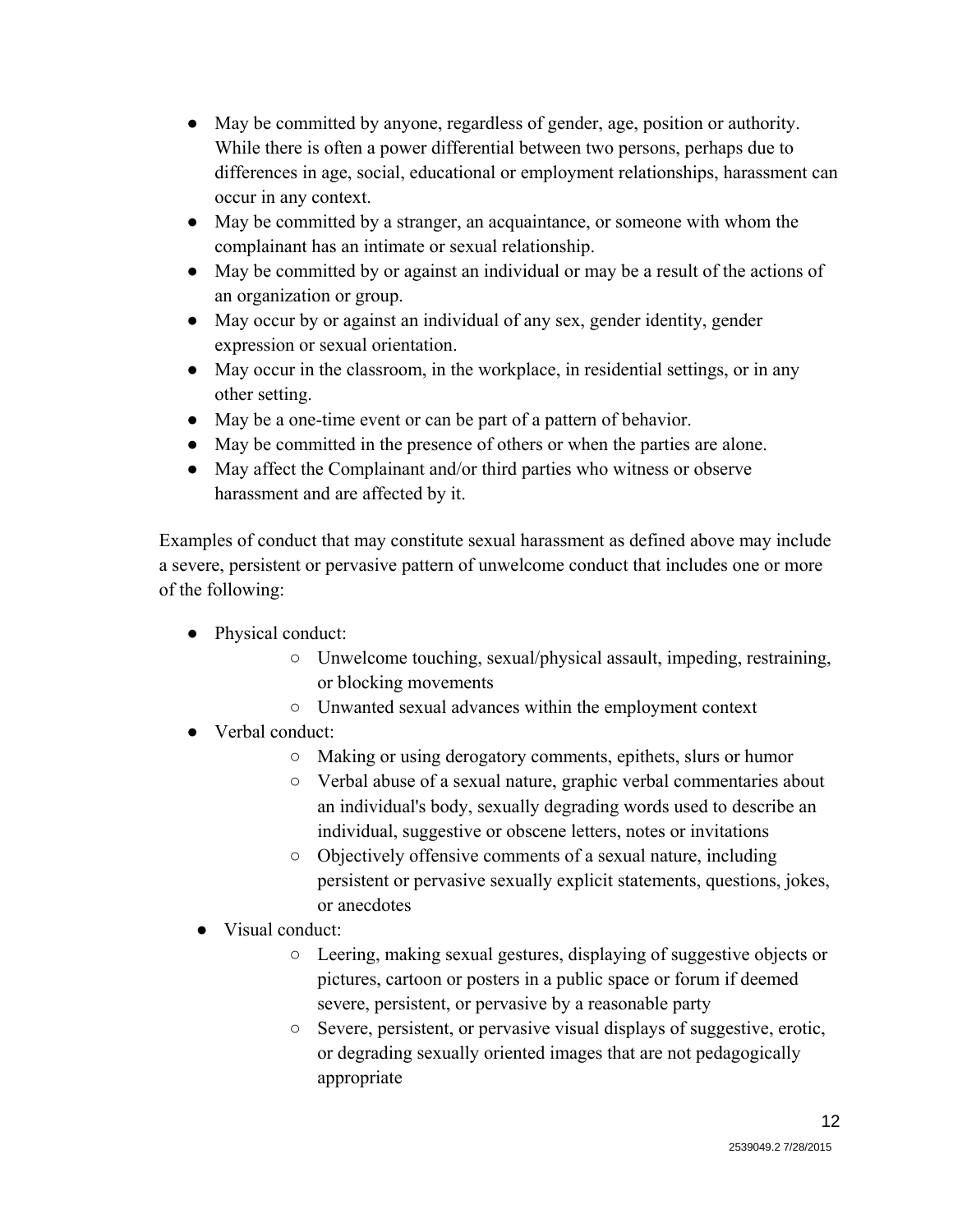- May be committed by anyone, regardless of gender, age, position or authority. While there is often a power differential between two persons, perhaps due to differences in age, social, educational or employment relationships, harassment can occur in any context.
- May be committed by a stranger, an acquaintance, or someone with whom the complainant has an intimate or sexual relationship.
- May be committed by or against an individual or may be a result of the actions of an organization or group.
- May occur by or against an individual of any sex, gender identity, gender expression or sexual orientation.
- May occur in the classroom, in the workplace, in residential settings, or in any other setting.
- May be a one-time event or can be part of a pattern of behavior.
- May be committed in the presence of others or when the parties are alone.
- May affect the Complainant and/or third parties who witness or observe harassment and are affected by it.

Examples of conduct that may constitute sexual harassment as defined above may include a severe, persistent or pervasive pattern of unwelcome conduct that includes one or more of the following:

- Physical conduct:
	- Unwelcome touching, sexual/physical assault, impeding, restraining, or blocking movements
	- Unwanted sexual advances within the employment context
- Verbal conduct:
	- Making or using derogatory comments, epithets, slurs or humor
	- Verbal abuse of a sexual nature, graphic verbal commentaries about an individual's body, sexually degrading words used to describe an individual, suggestive or obscene letters, notes or invitations
	- Objectively offensive comments of a sexual nature, including persistent or pervasive sexually explicit statements, questions, jokes, or anecdotes
	- Visual conduct:
		- Leering, making sexual gestures, displaying of suggestive objects or pictures, cartoon or posters in a public space or forum if deemed severe, persistent, or pervasive by a reasonable party
		- Severe, persistent, or pervasive visual displays of suggestive, erotic, or degrading sexually oriented images that are not pedagogically appropriate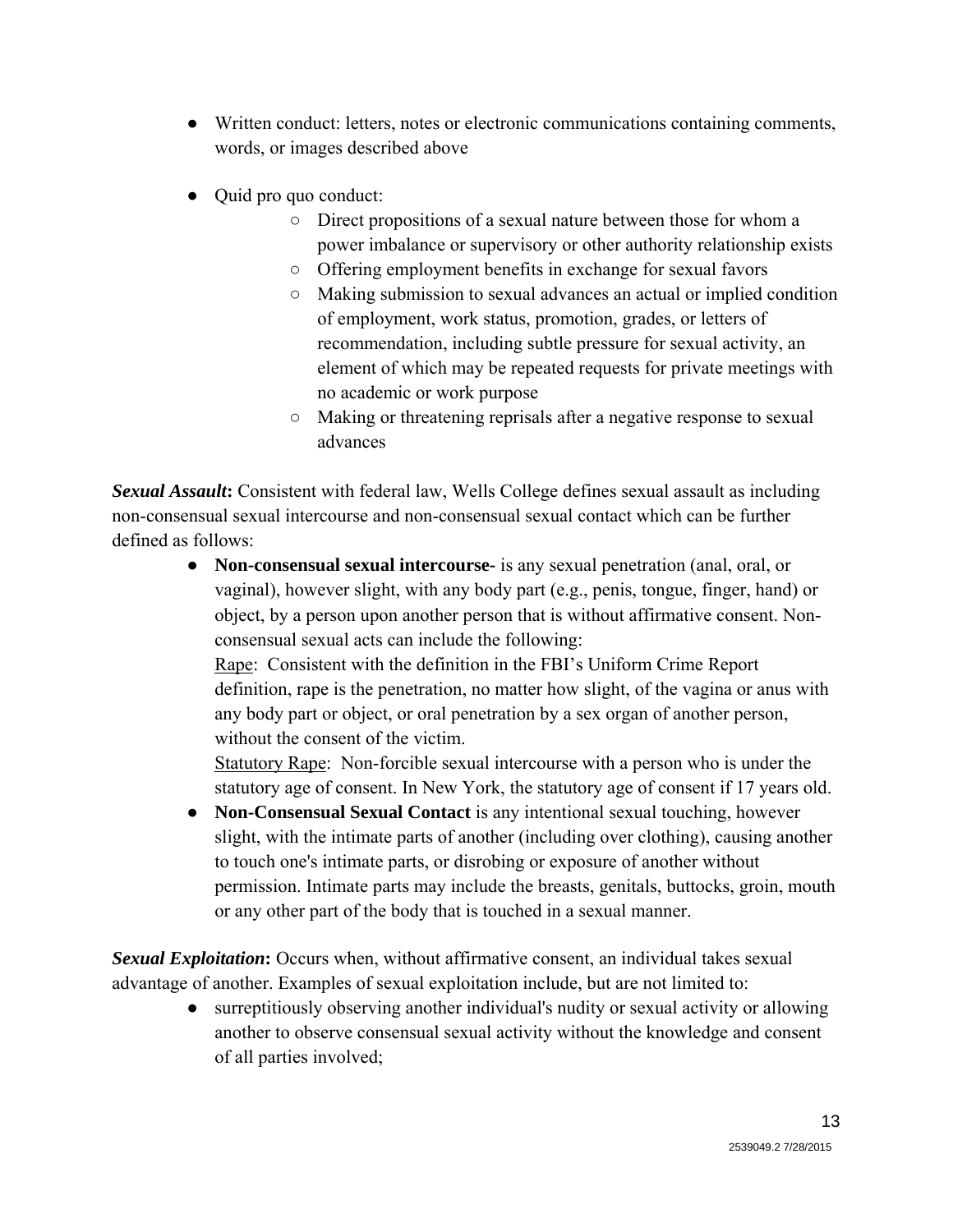- Written conduct: letters, notes or electronic communications containing comments, words, or images described above
- Quid pro quo conduct:
	- Direct propositions of a sexual nature between those for whom a power imbalance or supervisory or other authority relationship exists
	- Offering employment benefits in exchange for sexual favors
	- Making submission to sexual advances an actual or implied condition of employment, work status, promotion, grades, or letters of recommendation, including subtle pressure for sexual activity, an element of which may be repeated requests for private meetings with no academic or work purpose
	- Making or threatening reprisals after a negative response to sexual advances

*Sexual Assault***:** Consistent with federal law, Wells College defines sexual assault as including non-consensual sexual intercourse and non-consensual sexual contact which can be further defined as follows:

> ● **Non-consensual sexual intercourse-** is any sexual penetration (anal, oral, or vaginal), however slight, with any body part (e.g., penis, tongue, finger, hand) or object, by a person upon another person that is without affirmative consent. Nonconsensual sexual acts can include the following:

Rape: Consistent with the definition in the FBI's Uniform Crime Report definition, rape is the penetration, no matter how slight, of the vagina or anus with any body part or object, or oral penetration by a sex organ of another person, without the consent of the victim.

Statutory Rape: Non-forcible sexual intercourse with a person who is under the statutory age of consent. In New York, the statutory age of consent if 17 years old.

● **Non-Consensual Sexual Contact** is any intentional sexual touching, however slight, with the intimate parts of another (including over clothing), causing another to touch one's intimate parts, or disrobing or exposure of another without permission. Intimate parts may include the breasts, genitals, buttocks, groin, mouth or any other part of the body that is touched in a sexual manner.

**Sexual Exploitation:** Occurs when, without affirmative consent, an individual takes sexual advantage of another. Examples of sexual exploitation include, but are not limited to:

> ● surreptitiously observing another individual's nudity or sexual activity or allowing another to observe consensual sexual activity without the knowledge and consent of all parties involved;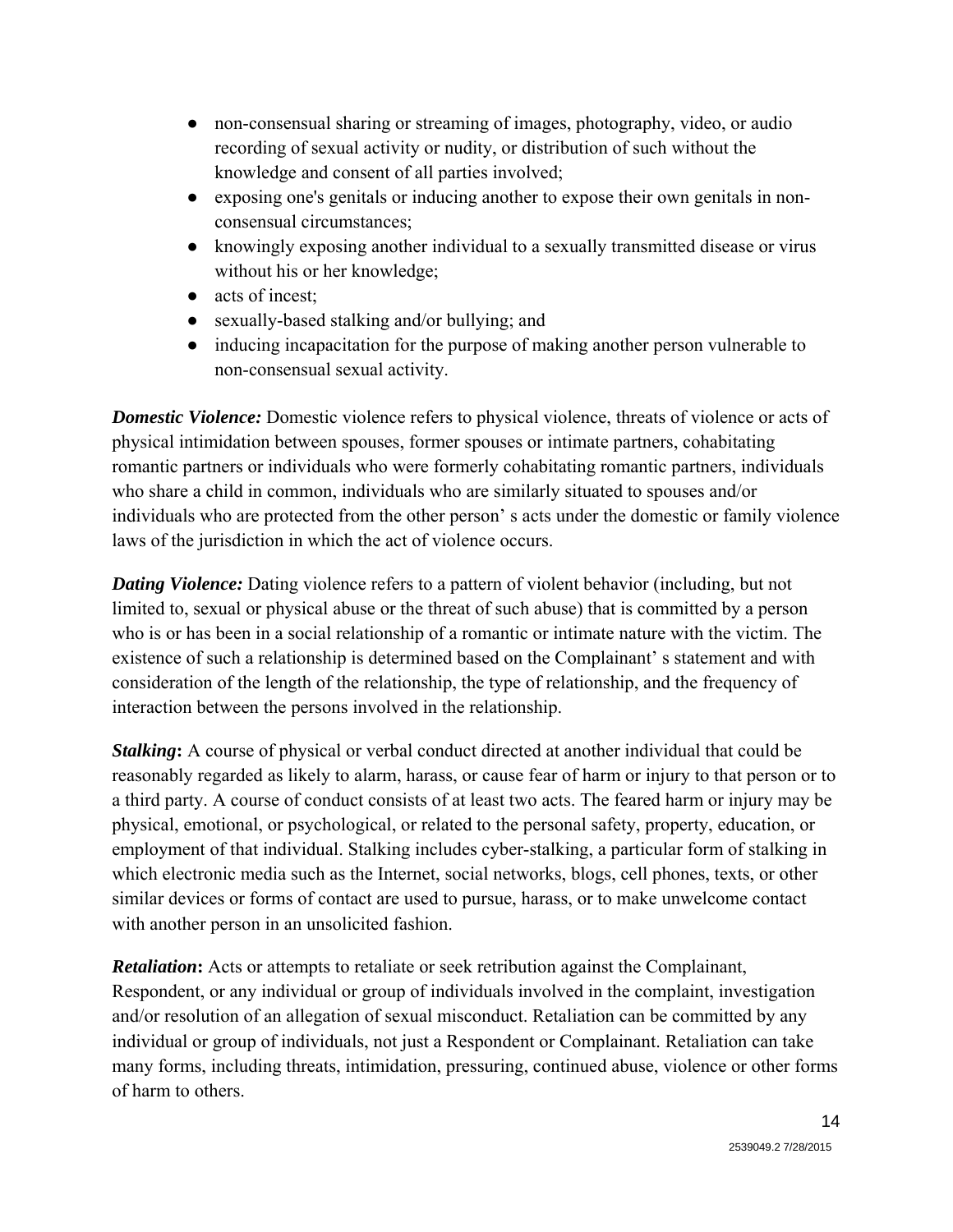- non-consensual sharing or streaming of images, photography, video, or audio recording of sexual activity or nudity, or distribution of such without the knowledge and consent of all parties involved;
- exposing one's genitals or inducing another to expose their own genitals in nonconsensual circumstances;
- knowingly exposing another individual to a sexually transmitted disease or virus without his or her knowledge;
- acts of incest:
- sexually-based stalking and/or bullying; and
- inducing incapacitation for the purpose of making another person vulnerable to non-consensual sexual activity.

*Domestic Violence:* Domestic violence refers to physical violence, threats of violence or acts of physical intimidation between spouses, former spouses or intimate partners, cohabitating romantic partners or individuals who were formerly cohabitating romantic partners, individuals who share a child in common, individuals who are similarly situated to spouses and/or individuals who are protected from the other person' s acts under the domestic or family violence laws of the jurisdiction in which the act of violence occurs.

*Dating Violence:* Dating violence refers to a pattern of violent behavior (including, but not limited to, sexual or physical abuse or the threat of such abuse) that is committed by a person who is or has been in a social relationship of a romantic or intimate nature with the victim. The existence of such a relationship is determined based on the Complainant' s statement and with consideration of the length of the relationship, the type of relationship, and the frequency of interaction between the persons involved in the relationship.

*Stalking***:** A course of physical or verbal conduct directed at another individual that could be reasonably regarded as likely to alarm, harass, or cause fear of harm or injury to that person or to a third party. A course of conduct consists of at least two acts. The feared harm or injury may be physical, emotional, or psychological, or related to the personal safety, property, education, or employment of that individual. Stalking includes cyber-stalking, a particular form of stalking in which electronic media such as the Internet, social networks, blogs, cell phones, texts, or other similar devices or forms of contact are used to pursue, harass, or to make unwelcome contact with another person in an unsolicited fashion.

*Retaliation***:** Acts or attempts to retaliate or seek retribution against the Complainant, Respondent, or any individual or group of individuals involved in the complaint, investigation and/or resolution of an allegation of sexual misconduct. Retaliation can be committed by any individual or group of individuals, not just a Respondent or Complainant. Retaliation can take many forms, including threats, intimidation, pressuring, continued abuse, violence or other forms of harm to others.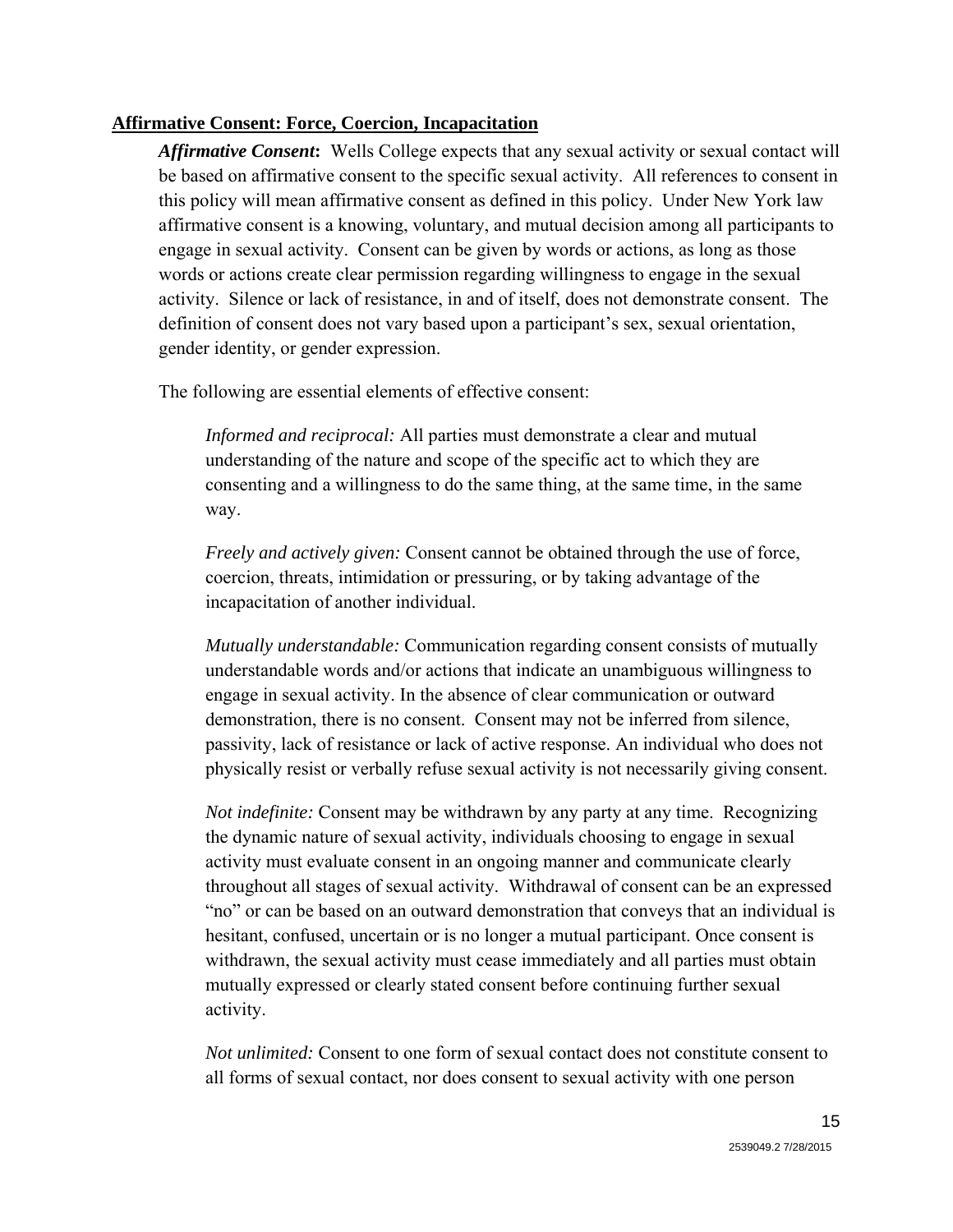#### **Affirmative Consent: Force, Coercion, Incapacitation**

*Affirmative Consent***:** Wells College expects that any sexual activity or sexual contact will be based on affirmative consent to the specific sexual activity. All references to consent in this policy will mean affirmative consent as defined in this policy. Under New York law affirmative consent is a knowing, voluntary, and mutual decision among all participants to engage in sexual activity. Consent can be given by words or actions, as long as those words or actions create clear permission regarding willingness to engage in the sexual activity. Silence or lack of resistance, in and of itself, does not demonstrate consent. The definition of consent does not vary based upon a participant's sex, sexual orientation, gender identity, or gender expression.

The following are essential elements of effective consent:

*Informed and reciprocal:* All parties must demonstrate a clear and mutual understanding of the nature and scope of the specific act to which they are consenting and a willingness to do the same thing, at the same time, in the same way.

*Freely and actively given:* Consent cannot be obtained through the use of force, coercion, threats, intimidation or pressuring, or by taking advantage of the incapacitation of another individual.

*Mutually understandable:* Communication regarding consent consists of mutually understandable words and/or actions that indicate an unambiguous willingness to engage in sexual activity. In the absence of clear communication or outward demonstration, there is no consent. Consent may not be inferred from silence, passivity, lack of resistance or lack of active response. An individual who does not physically resist or verbally refuse sexual activity is not necessarily giving consent.

*Not indefinite:* Consent may be withdrawn by any party at any time. Recognizing the dynamic nature of sexual activity, individuals choosing to engage in sexual activity must evaluate consent in an ongoing manner and communicate clearly throughout all stages of sexual activity. Withdrawal of consent can be an expressed "no" or can be based on an outward demonstration that conveys that an individual is hesitant, confused, uncertain or is no longer a mutual participant. Once consent is withdrawn, the sexual activity must cease immediately and all parties must obtain mutually expressed or clearly stated consent before continuing further sexual activity.

*Not unlimited:* Consent to one form of sexual contact does not constitute consent to all forms of sexual contact, nor does consent to sexual activity with one person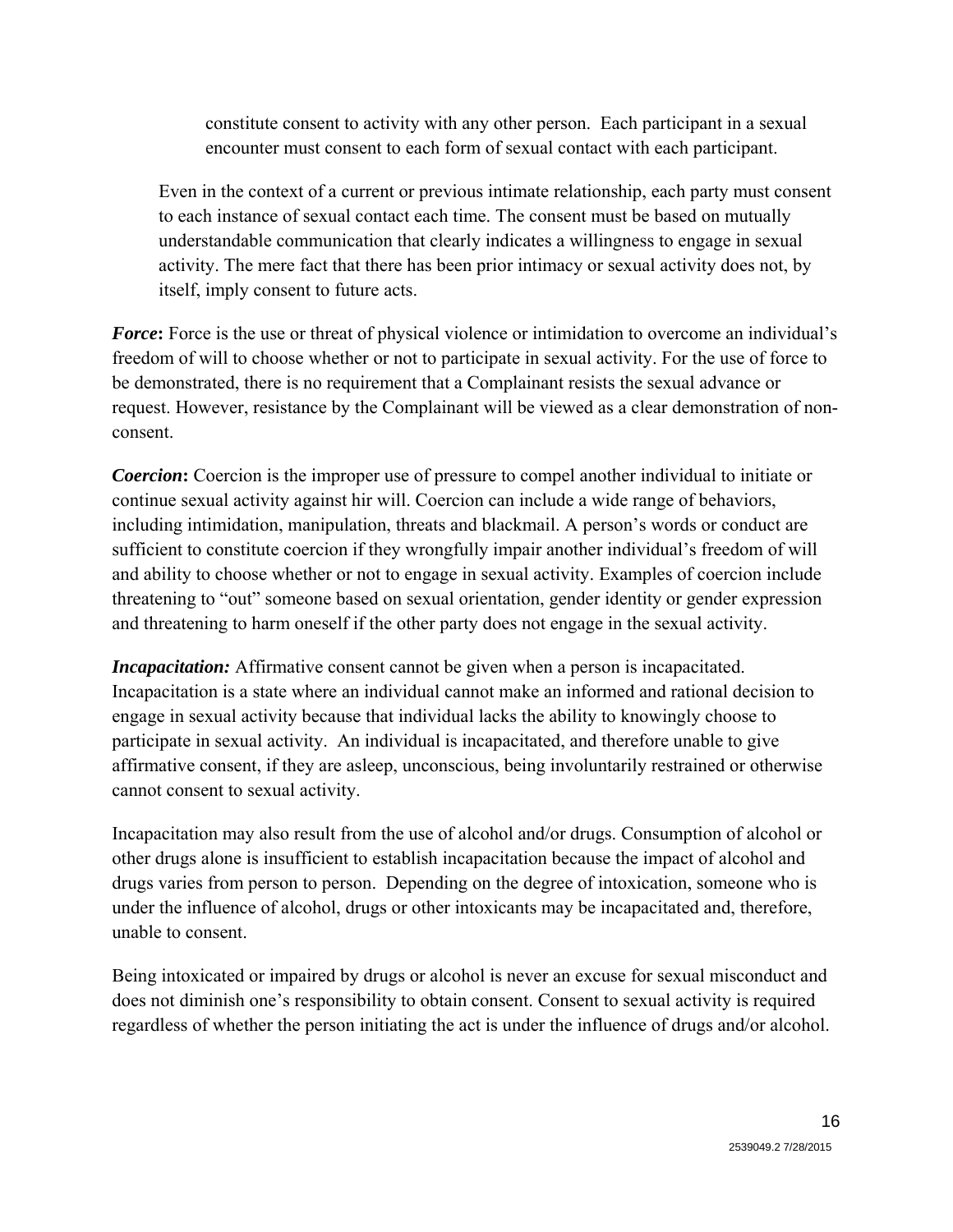constitute consent to activity with any other person. Each participant in a sexual encounter must consent to each form of sexual contact with each participant.

Even in the context of a current or previous intimate relationship, each party must consent to each instance of sexual contact each time. The consent must be based on mutually understandable communication that clearly indicates a willingness to engage in sexual activity. The mere fact that there has been prior intimacy or sexual activity does not, by itself, imply consent to future acts.

*Force*: Force is the use or threat of physical violence or intimidation to overcome an individual's freedom of will to choose whether or not to participate in sexual activity. For the use of force to be demonstrated, there is no requirement that a Complainant resists the sexual advance or request. However, resistance by the Complainant will be viewed as a clear demonstration of nonconsent.

*Coercion***:** Coercion is the improper use of pressure to compel another individual to initiate or continue sexual activity against hir will. Coercion can include a wide range of behaviors, including intimidation, manipulation, threats and blackmail. A person's words or conduct are sufficient to constitute coercion if they wrongfully impair another individual's freedom of will and ability to choose whether or not to engage in sexual activity. Examples of coercion include threatening to "out" someone based on sexual orientation, gender identity or gender expression and threatening to harm oneself if the other party does not engage in the sexual activity.

*Incapacitation:* Affirmative consent cannot be given when a person is incapacitated. Incapacitation is a state where an individual cannot make an informed and rational decision to engage in sexual activity because that individual lacks the ability to knowingly choose to participate in sexual activity. An individual is incapacitated, and therefore unable to give affirmative consent, if they are asleep, unconscious, being involuntarily restrained or otherwise cannot consent to sexual activity.

Incapacitation may also result from the use of alcohol and/or drugs. Consumption of alcohol or other drugs alone is insufficient to establish incapacitation because the impact of alcohol and drugs varies from person to person. Depending on the degree of intoxication, someone who is under the influence of alcohol, drugs or other intoxicants may be incapacitated and, therefore, unable to consent.

Being intoxicated or impaired by drugs or alcohol is never an excuse for sexual misconduct and does not diminish one's responsibility to obtain consent. Consent to sexual activity is required regardless of whether the person initiating the act is under the influence of drugs and/or alcohol.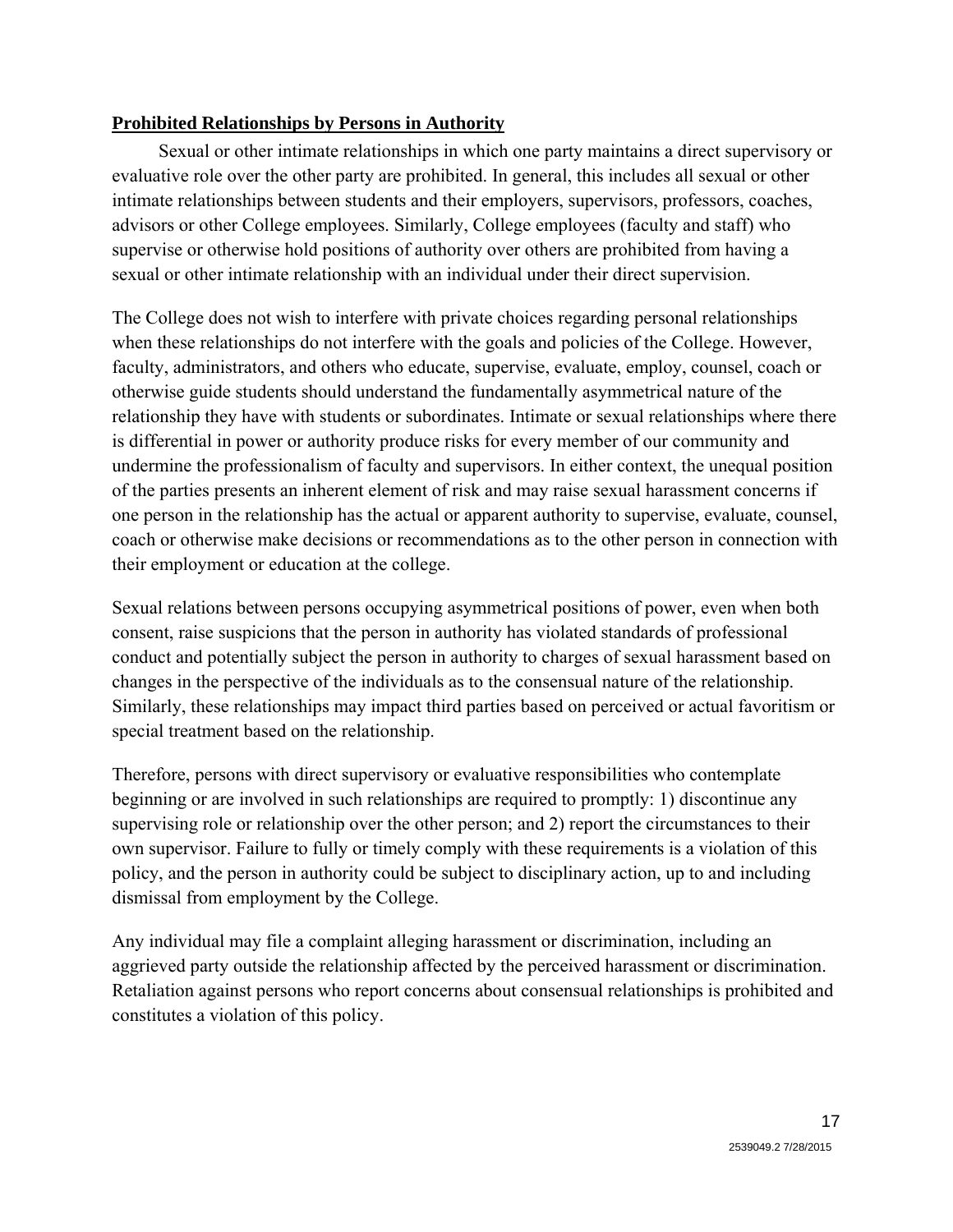### **Prohibited Relationships by Persons in Authority**

Sexual or other intimate relationships in which one party maintains a direct supervisory or evaluative role over the other party are prohibited. In general, this includes all sexual or other intimate relationships between students and their employers, supervisors, professors, coaches, advisors or other College employees. Similarly, College employees (faculty and staff) who supervise or otherwise hold positions of authority over others are prohibited from having a sexual or other intimate relationship with an individual under their direct supervision.

The College does not wish to interfere with private choices regarding personal relationships when these relationships do not interfere with the goals and policies of the College. However, faculty, administrators, and others who educate, supervise, evaluate, employ, counsel, coach or otherwise guide students should understand the fundamentally asymmetrical nature of the relationship they have with students or subordinates. Intimate or sexual relationships where there is differential in power or authority produce risks for every member of our community and undermine the professionalism of faculty and supervisors. In either context, the unequal position of the parties presents an inherent element of risk and may raise sexual harassment concerns if one person in the relationship has the actual or apparent authority to supervise, evaluate, counsel, coach or otherwise make decisions or recommendations as to the other person in connection with their employment or education at the college.

Sexual relations between persons occupying asymmetrical positions of power, even when both consent, raise suspicions that the person in authority has violated standards of professional conduct and potentially subject the person in authority to charges of sexual harassment based on changes in the perspective of the individuals as to the consensual nature of the relationship. Similarly, these relationships may impact third parties based on perceived or actual favoritism or special treatment based on the relationship.

Therefore, persons with direct supervisory or evaluative responsibilities who contemplate beginning or are involved in such relationships are required to promptly: 1) discontinue any supervising role or relationship over the other person; and 2) report the circumstances to their own supervisor. Failure to fully or timely comply with these requirements is a violation of this policy, and the person in authority could be subject to disciplinary action, up to and including dismissal from employment by the College.

Any individual may file a complaint alleging harassment or discrimination, including an aggrieved party outside the relationship affected by the perceived harassment or discrimination. Retaliation against persons who report concerns about consensual relationships is prohibited and constitutes a violation of this policy.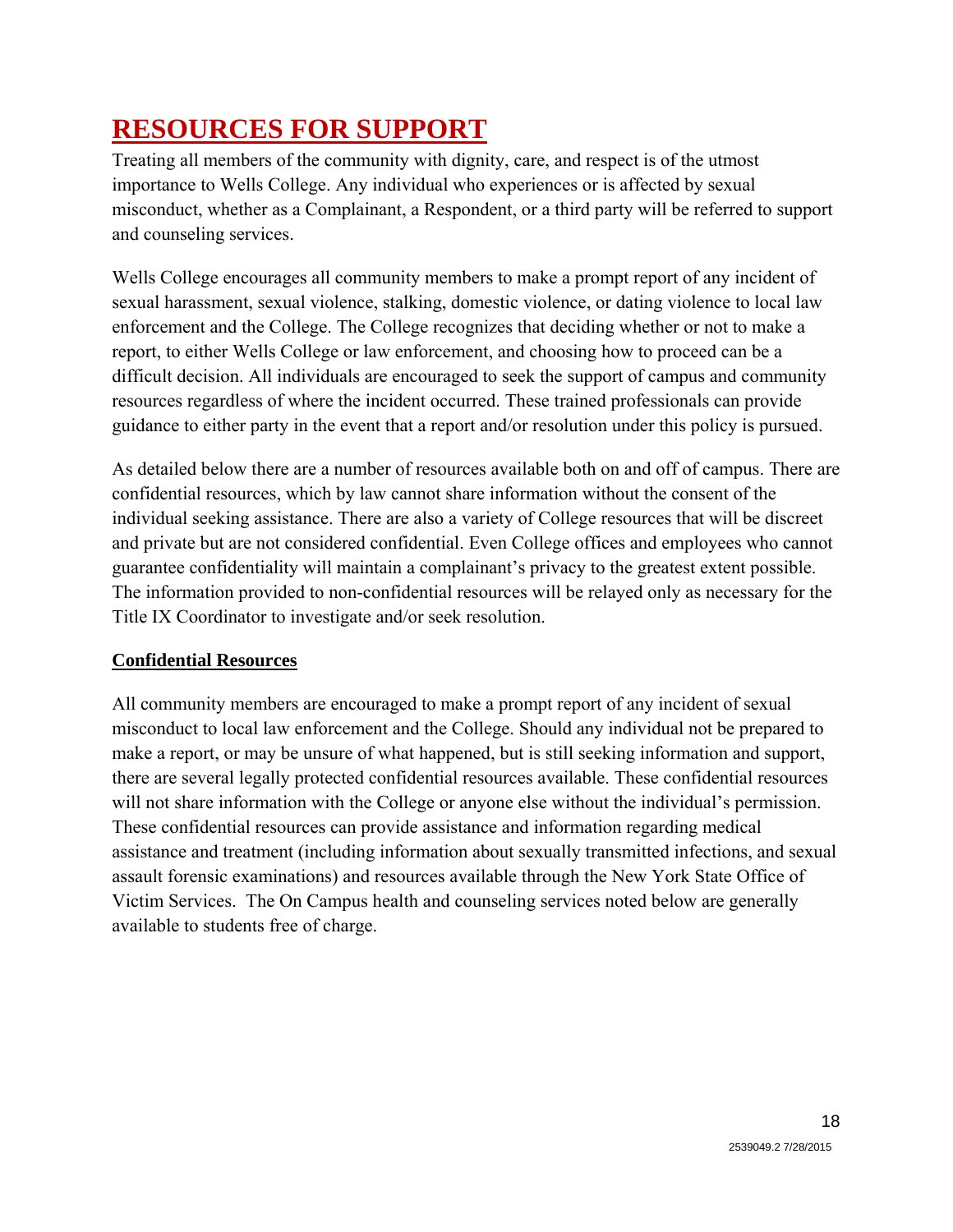# **RESOURCES FOR SUPPORT**

Treating all members of the community with dignity, care, and respect is of the utmost importance to Wells College. Any individual who experiences or is affected by sexual misconduct, whether as a Complainant, a Respondent, or a third party will be referred to support and counseling services.

Wells College encourages all community members to make a prompt report of any incident of sexual harassment, sexual violence, stalking, domestic violence, or dating violence to local law enforcement and the College. The College recognizes that deciding whether or not to make a report, to either Wells College or law enforcement, and choosing how to proceed can be a difficult decision. All individuals are encouraged to seek the support of campus and community resources regardless of where the incident occurred. These trained professionals can provide guidance to either party in the event that a report and/or resolution under this policy is pursued.

As detailed below there are a number of resources available both on and off of campus. There are confidential resources, which by law cannot share information without the consent of the individual seeking assistance. There are also a variety of College resources that will be discreet and private but are not considered confidential. Even College offices and employees who cannot guarantee confidentiality will maintain a complainant's privacy to the greatest extent possible. The information provided to non-confidential resources will be relayed only as necessary for the Title IX Coordinator to investigate and/or seek resolution.

### **Confidential Resources**

All community members are encouraged to make a prompt report of any incident of sexual misconduct to local law enforcement and the College. Should any individual not be prepared to make a report, or may be unsure of what happened, but is still seeking information and support, there are several legally protected confidential resources available. These confidential resources will not share information with the College or anyone else without the individual's permission. These confidential resources can provide assistance and information regarding medical assistance and treatment (including information about sexually transmitted infections, and sexual assault forensic examinations) and resources available through the New York State Office of Victim Services. The On Campus health and counseling services noted below are generally available to students free of charge.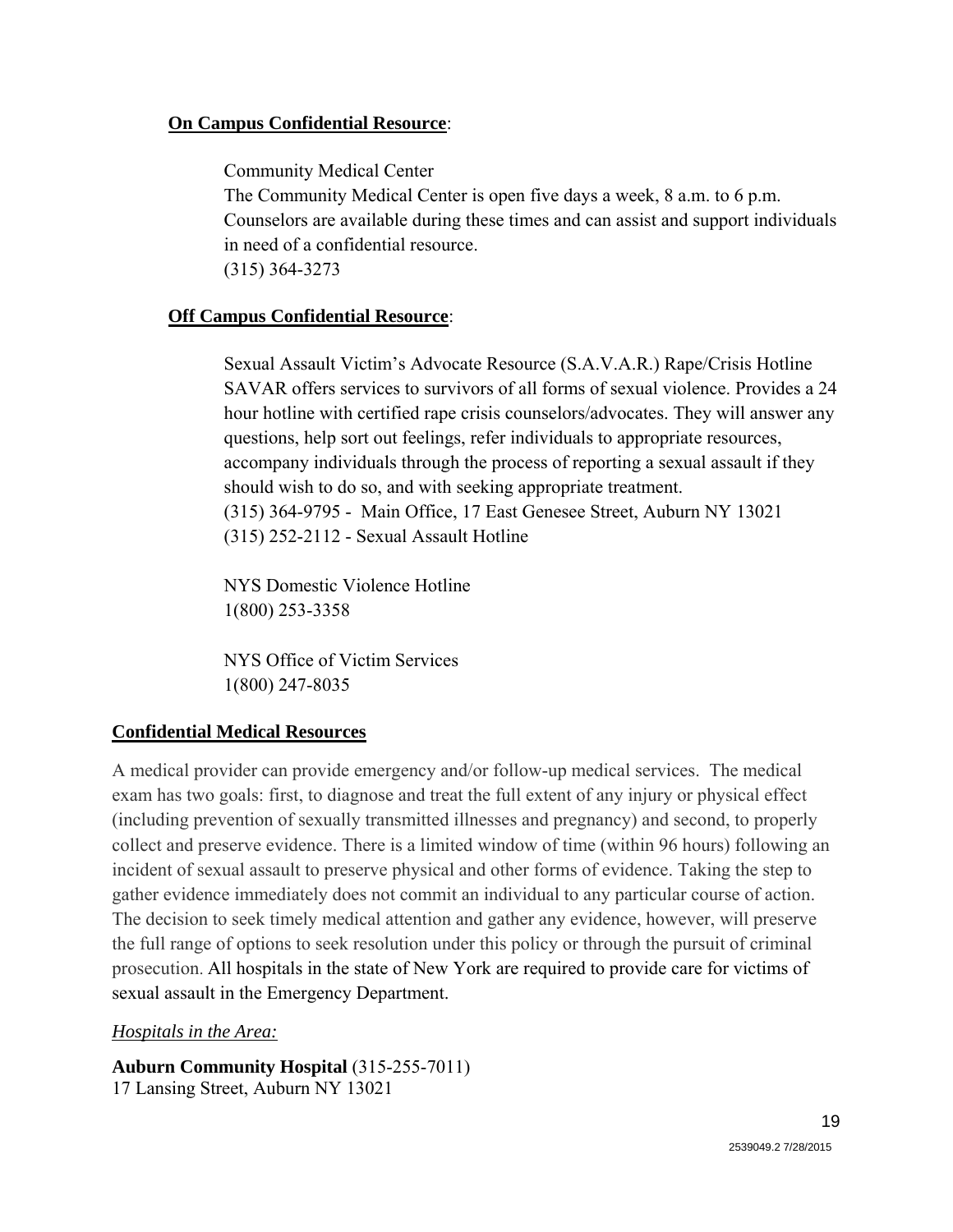#### **On Campus Confidential Resource**:

Community Medical Center

The Community Medical Center is open five days a week, 8 a.m. to 6 p.m. Counselors are available during these times and can assist and support individuals in need of a confidential resource. (315) 364-3273

#### **Off Campus Confidential Resource**:

 Sexual Assault Victim's Advocate Resource (S.A.V.A.R.) Rape/Crisis Hotline SAVAR offers services to survivors of all forms of sexual violence. Provides a 24 hour hotline with certified rape crisis counselors/advocates. They will answer any questions, help sort out feelings, refer individuals to appropriate resources, accompany individuals through the process of reporting a sexual assault if they should wish to do so, and with seeking appropriate treatment. (315) 364-9795 - Main Office, 17 East Genesee Street, Auburn NY 13021 (315) 252-2112 - Sexual Assault Hotline

NYS Domestic Violence Hotline 1(800) 253-3358

NYS Office of Victim Services 1(800) 247-8035

#### **Confidential Medical Resources**

A medical provider can provide emergency and/or follow-up medical services. The medical exam has two goals: first, to diagnose and treat the full extent of any injury or physical effect (including prevention of sexually transmitted illnesses and pregnancy) and second, to properly collect and preserve evidence. There is a limited window of time (within 96 hours) following an incident of sexual assault to preserve physical and other forms of evidence. Taking the step to gather evidence immediately does not commit an individual to any particular course of action. The decision to seek timely medical attention and gather any evidence, however, will preserve the full range of options to seek resolution under this policy or through the pursuit of criminal prosecution. All hospitals in the state of New York are required to provide care for victims of sexual assault in the Emergency Department.

#### *Hospitals in the Area:*

**Auburn Community Hospital** (315-255-7011) 17 Lansing Street, Auburn NY 13021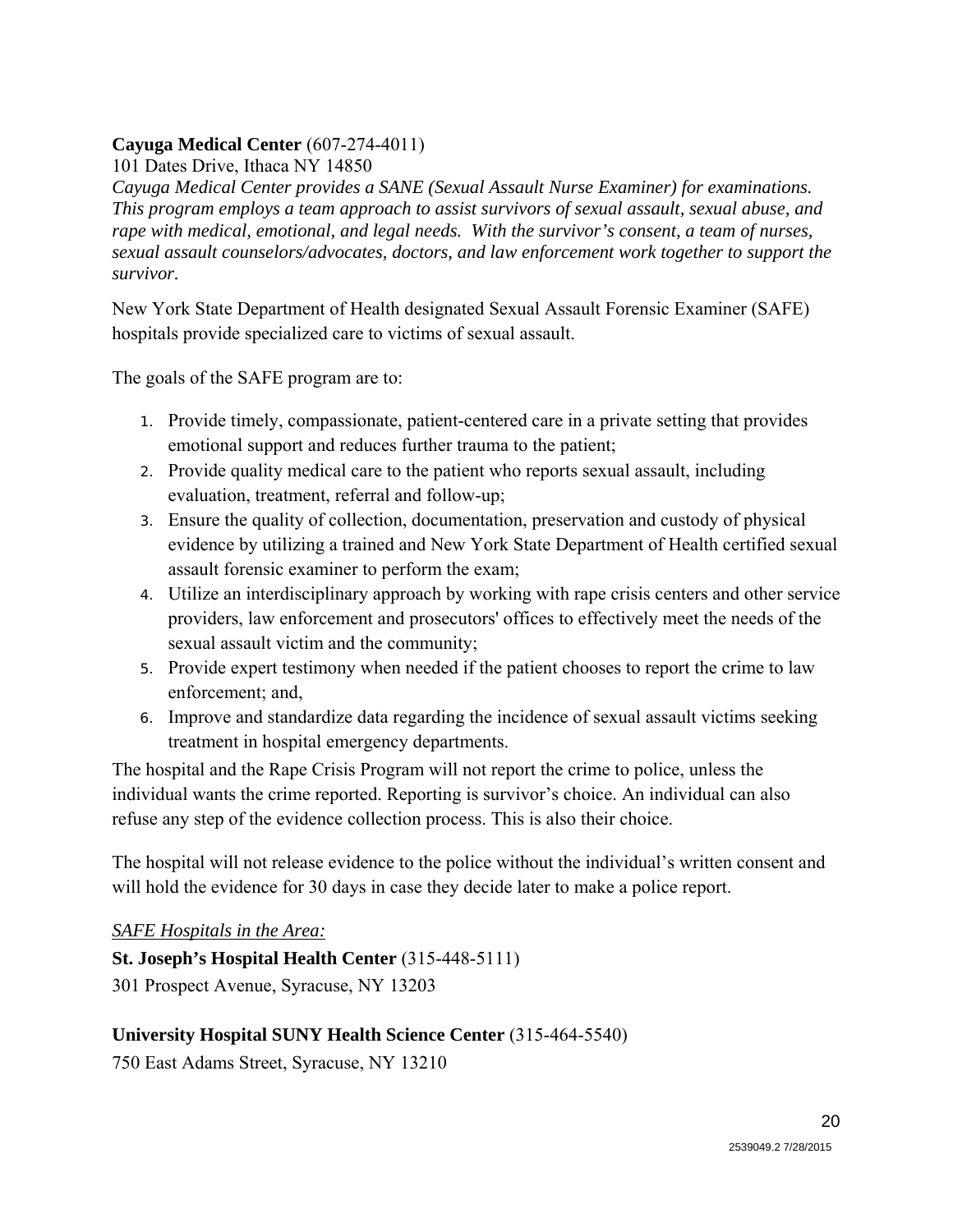### **Cayuga Medical Center** (607-274-4011)

101 Dates Drive, Ithaca NY 14850

*Cayuga Medical Center provides a SANE (Sexual Assault Nurse Examiner) for examinations. This program employs a team approach to assist survivors of sexual assault, sexual abuse, and rape with medical, emotional, and legal needs. With the survivor's consent, a team of nurses, sexual assault counselors/advocates, doctors, and law enforcement work together to support the survivor.*

New York State Department of Health designated Sexual Assault Forensic Examiner (SAFE) hospitals provide specialized care to victims of sexual assault.

The goals of the SAFE program are to:

- 1. Provide timely, compassionate, patient-centered care in a private setting that provides emotional support and reduces further trauma to the patient;
- 2. Provide quality medical care to the patient who reports sexual assault, including evaluation, treatment, referral and follow-up;
- 3. Ensure the quality of collection, documentation, preservation and custody of physical evidence by utilizing a trained and New York State Department of Health certified sexual assault forensic examiner to perform the exam;
- 4. Utilize an interdisciplinary approach by working with rape crisis centers and other service providers, law enforcement and prosecutors' offices to effectively meet the needs of the sexual assault victim and the community;
- 5. Provide expert testimony when needed if the patient chooses to report the crime to law enforcement; and,
- 6. Improve and standardize data regarding the incidence of sexual assault victims seeking treatment in hospital emergency departments.

The hospital and the Rape Crisis Program will not report the crime to police, unless the individual wants the crime reported. Reporting is survivor's choice. An individual can also refuse any step of the evidence collection process. This is also their choice.

The hospital will not release evidence to the police without the individual's written consent and will hold the evidence for 30 days in case they decide later to make a police report.

#### *SAFE Hospitals in the Area:*

**St. Joseph's Hospital Health Center** (315-448-5111)

301 Prospect Avenue, Syracuse, NY 13203

#### **University Hospital SUNY Health Science Center** (315-464-5540)

750 East Adams Street, Syracuse, NY 13210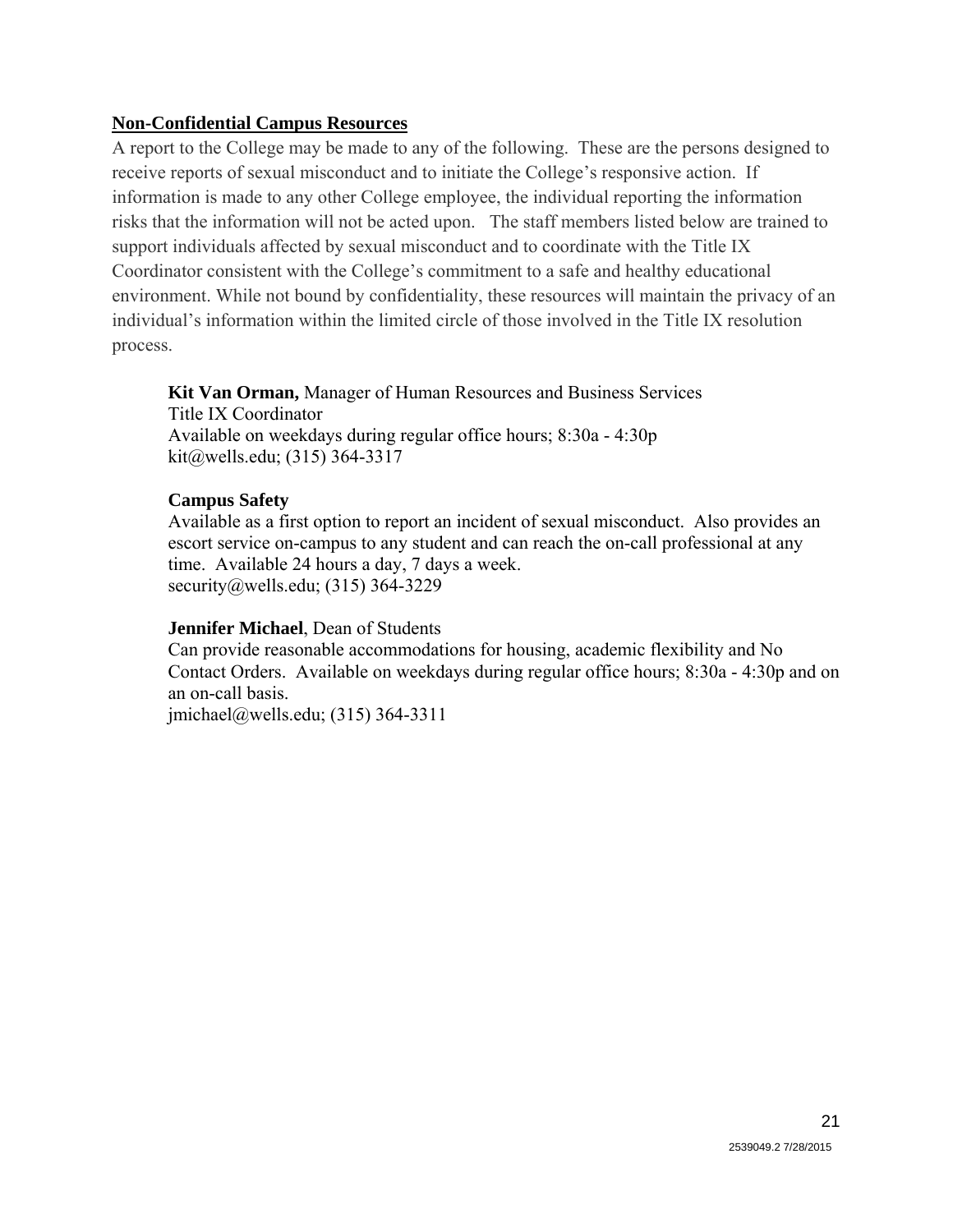#### **Non-Confidential Campus Resources**

A report to the College may be made to any of the following. These are the persons designed to receive reports of sexual misconduct and to initiate the College's responsive action. If information is made to any other College employee, the individual reporting the information risks that the information will not be acted upon. The staff members listed below are trained to support individuals affected by sexual misconduct and to coordinate with the Title IX Coordinator consistent with the College's commitment to a safe and healthy educational environment. While not bound by confidentiality, these resources will maintain the privacy of an individual's information within the limited circle of those involved in the Title IX resolution process.

**Kit Van Orman,** Manager of Human Resources and Business Services Title IX Coordinator Available on weekdays during regular office hours; 8:30a - 4:30p kit@wells.edu; (315) 364-3317

### **Campus Safety**

Available as a first option to report an incident of sexual misconduct. Also provides an escort service on-campus to any student and can reach the on-call professional at any time. Available 24 hours a day, 7 days a week. security@wells.edu; (315) 364-3229

#### **Jennifer Michael**, Dean of Students

Can provide reasonable accommodations for housing, academic flexibility and No Contact Orders. Available on weekdays during regular office hours; 8:30a - 4:30p and on an on-call basis.

jmichael@wells.edu; (315) 364-3311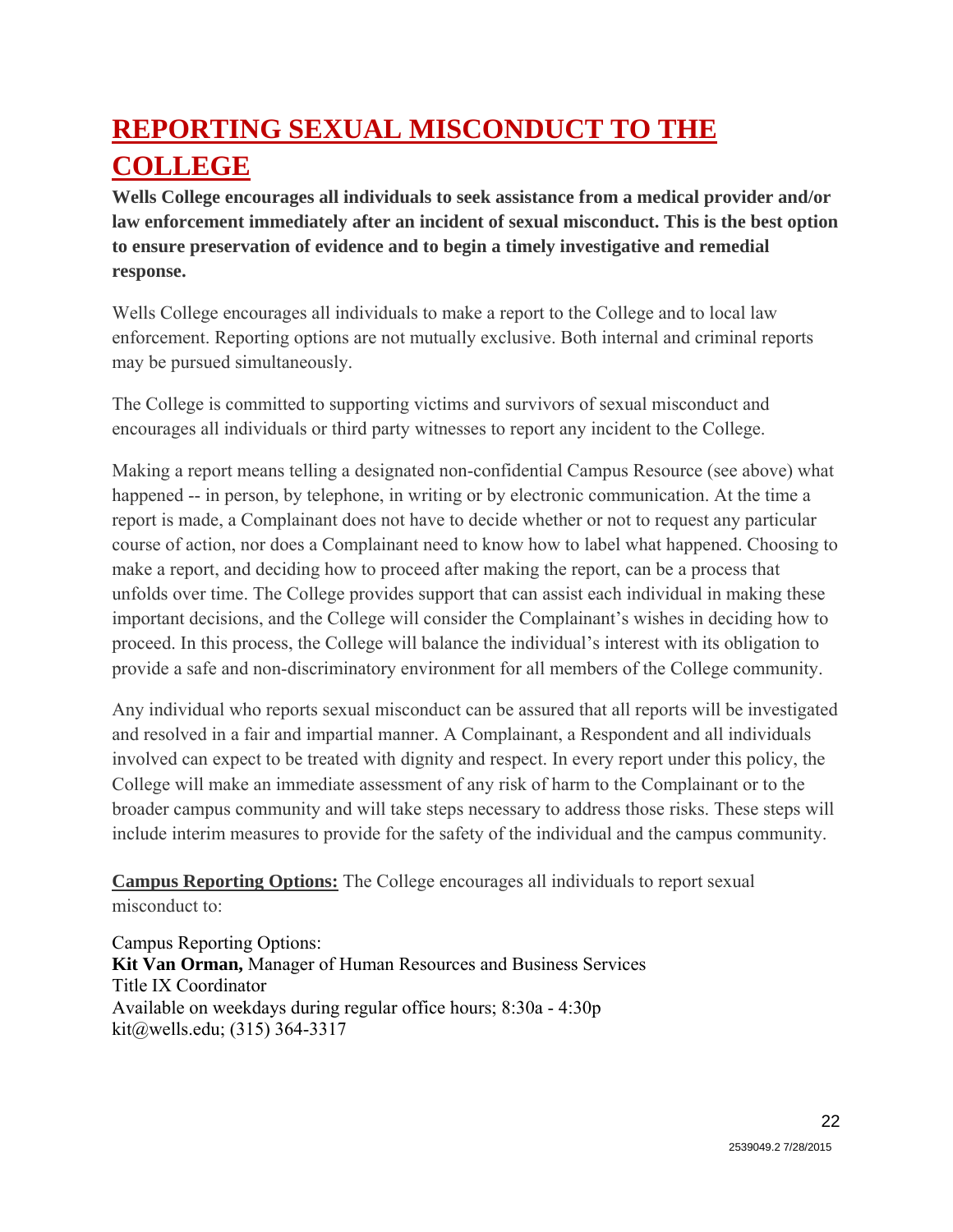# **REPORTING SEXUAL MISCONDUCT TO THE COLLEGE**

**Wells College encourages all individuals to seek assistance from a medical provider and/or law enforcement immediately after an incident of sexual misconduct. This is the best option to ensure preservation of evidence and to begin a timely investigative and remedial response.**

Wells College encourages all individuals to make a report to the College and to local law enforcement. Reporting options are not mutually exclusive. Both internal and criminal reports may be pursued simultaneously.

The College is committed to supporting victims and survivors of sexual misconduct and encourages all individuals or third party witnesses to report any incident to the College.

Making a report means telling a designated non-confidential Campus Resource (see above) what happened -- in person, by telephone, in writing or by electronic communication. At the time a report is made, a Complainant does not have to decide whether or not to request any particular course of action, nor does a Complainant need to know how to label what happened. Choosing to make a report, and deciding how to proceed after making the report, can be a process that unfolds over time. The College provides support that can assist each individual in making these important decisions, and the College will consider the Complainant's wishes in deciding how to proceed. In this process, the College will balance the individual's interest with its obligation to provide a safe and non-discriminatory environment for all members of the College community.

Any individual who reports sexual misconduct can be assured that all reports will be investigated and resolved in a fair and impartial manner. A Complainant, a Respondent and all individuals involved can expect to be treated with dignity and respect. In every report under this policy, the College will make an immediate assessment of any risk of harm to the Complainant or to the broader campus community and will take steps necessary to address those risks. These steps will include interim measures to provide for the safety of the individual and the campus community.

**Campus Reporting Options:** The College encourages all individuals to report sexual misconduct to:

Campus Reporting Options: **Kit Van Orman,** Manager of Human Resources and Business Services Title IX Coordinator Available on weekdays during regular office hours; 8:30a - 4:30p kit@wells.edu; (315) 364-3317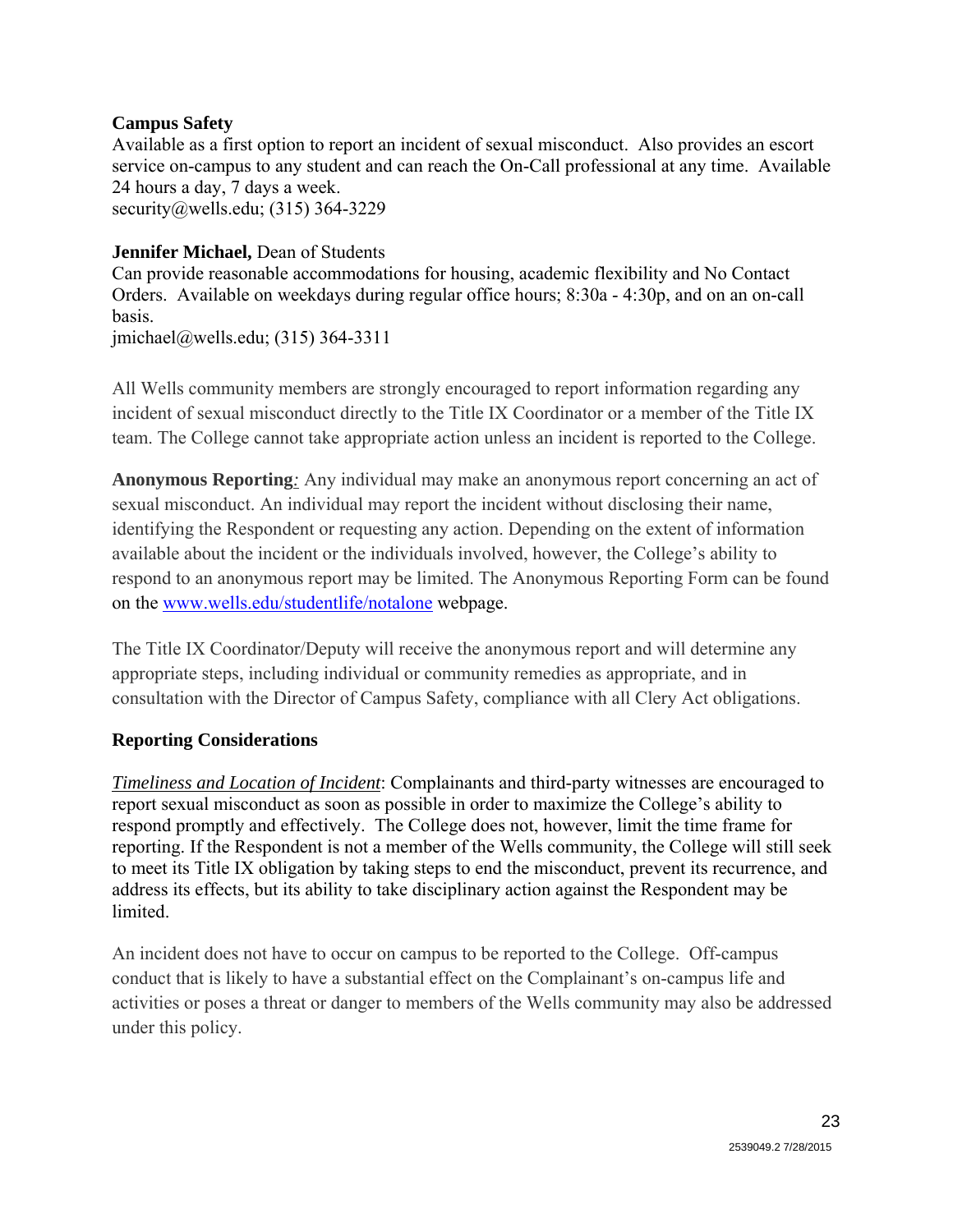#### **Campus Safety**

Available as a first option to report an incident of sexual misconduct. Also provides an escort service on-campus to any student and can reach the On-Call professional at any time. Available 24 hours a day, 7 days a week. security@wells.edu; (315) 364-3229

### **Jennifer Michael,** Dean of Students

Can provide reasonable accommodations for housing, academic flexibility and No Contact Orders. Available on weekdays during regular office hours; 8:30a - 4:30p, and on an on-call basis.

jmichael@wells.edu; (315) 364-3311

All Wells community members are strongly encouraged to report information regarding any incident of sexual misconduct directly to the Title IX Coordinator or a member of the Title IX team. The College cannot take appropriate action unless an incident is reported to the College.

**Anonymous Reporting***:* Any individual may make an anonymous report concerning an act of sexual misconduct. An individual may report the incident without disclosing their name, identifying the Respondent or requesting any action. Depending on the extent of information available about the incident or the individuals involved, however, the College's ability to respond to an anonymous report may be limited. The Anonymous Reporting Form can be found on the www.wells.edu/studentlife/notalone webpage.

The Title IX Coordinator/Deputy will receive the anonymous report and will determine any appropriate steps, including individual or community remedies as appropriate, and in consultation with the Director of Campus Safety, compliance with all Clery Act obligations.

### **Reporting Considerations**

*Timeliness and Location of Incident*: Complainants and third-party witnesses are encouraged to report sexual misconduct as soon as possible in order to maximize the College's ability to respond promptly and effectively. The College does not, however, limit the time frame for reporting. If the Respondent is not a member of the Wells community, the College will still seek to meet its Title IX obligation by taking steps to end the misconduct, prevent its recurrence, and address its effects, but its ability to take disciplinary action against the Respondent may be **limited** 

An incident does not have to occur on campus to be reported to the College. Off-campus conduct that is likely to have a substantial effect on the Complainant's on-campus life and activities or poses a threat or danger to members of the Wells community may also be addressed under this policy.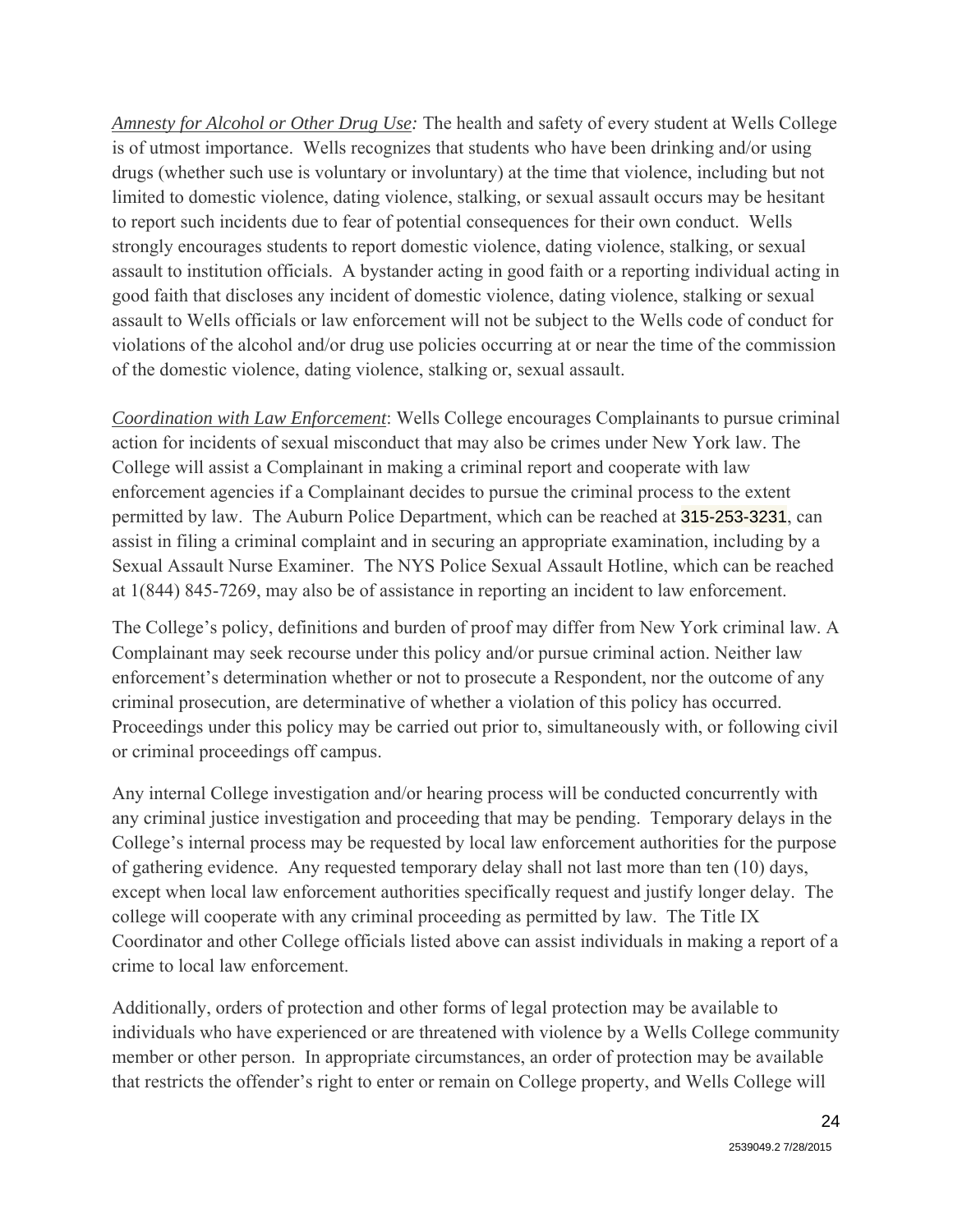*Amnesty for Alcohol or Other Drug Use:* The health and safety of every student at Wells College is of utmost importance. Wells recognizes that students who have been drinking and/or using drugs (whether such use is voluntary or involuntary) at the time that violence, including but not limited to domestic violence, dating violence, stalking, or sexual assault occurs may be hesitant to report such incidents due to fear of potential consequences for their own conduct. Wells strongly encourages students to report domestic violence, dating violence, stalking, or sexual assault to institution officials. A bystander acting in good faith or a reporting individual acting in good faith that discloses any incident of domestic violence, dating violence, stalking or sexual assault to Wells officials or law enforcement will not be subject to the Wells code of conduct for violations of the alcohol and/or drug use policies occurring at or near the time of the commission of the domestic violence, dating violence, stalking or, sexual assault.

*Coordination with Law Enforcement*: Wells College encourages Complainants to pursue criminal action for incidents of sexual misconduct that may also be crimes under New York law. The College will assist a Complainant in making a criminal report and cooperate with law enforcement agencies if a Complainant decides to pursue the criminal process to the extent permitted by law. The Auburn Police Department, which can be reached at 315-253-3231, can assist in filing a criminal complaint and in securing an appropriate examination, including by a Sexual Assault Nurse Examiner. The NYS Police Sexual Assault Hotline, which can be reached at 1(844) 845-7269, may also be of assistance in reporting an incident to law enforcement.

The College's policy, definitions and burden of proof may differ from New York criminal law. A Complainant may seek recourse under this policy and/or pursue criminal action. Neither law enforcement's determination whether or not to prosecute a Respondent, nor the outcome of any criminal prosecution, are determinative of whether a violation of this policy has occurred. Proceedings under this policy may be carried out prior to, simultaneously with, or following civil or criminal proceedings off campus.

Any internal College investigation and/or hearing process will be conducted concurrently with any criminal justice investigation and proceeding that may be pending. Temporary delays in the College's internal process may be requested by local law enforcement authorities for the purpose of gathering evidence. Any requested temporary delay shall not last more than ten (10) days, except when local law enforcement authorities specifically request and justify longer delay. The college will cooperate with any criminal proceeding as permitted by law. The Title IX Coordinator and other College officials listed above can assist individuals in making a report of a crime to local law enforcement.

Additionally, orders of protection and other forms of legal protection may be available to individuals who have experienced or are threatened with violence by a Wells College community member or other person. In appropriate circumstances, an order of protection may be available that restricts the offender's right to enter or remain on College property, and Wells College will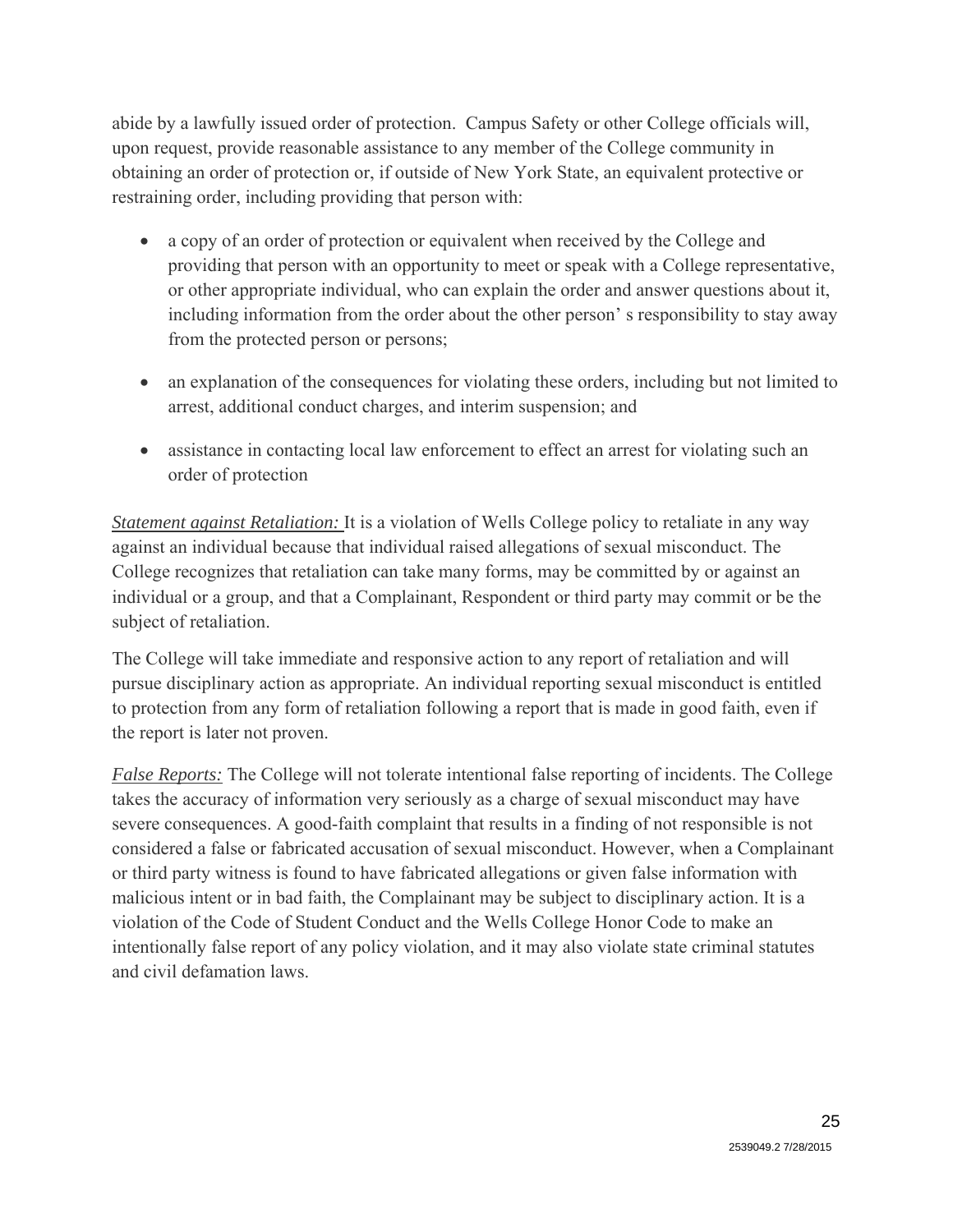abide by a lawfully issued order of protection. Campus Safety or other College officials will, upon request, provide reasonable assistance to any member of the College community in obtaining an order of protection or, if outside of New York State, an equivalent protective or restraining order, including providing that person with:

- a copy of an order of protection or equivalent when received by the College and providing that person with an opportunity to meet or speak with a College representative, or other appropriate individual, who can explain the order and answer questions about it, including information from the order about the other person' s responsibility to stay away from the protected person or persons;
- an explanation of the consequences for violating these orders, including but not limited to arrest, additional conduct charges, and interim suspension; and
- assistance in contacting local law enforcement to effect an arrest for violating such an order of protection

*Statement against Retaliation:* It is a violation of Wells College policy to retaliate in any way against an individual because that individual raised allegations of sexual misconduct. The College recognizes that retaliation can take many forms, may be committed by or against an individual or a group, and that a Complainant, Respondent or third party may commit or be the subject of retaliation.

The College will take immediate and responsive action to any report of retaliation and will pursue disciplinary action as appropriate. An individual reporting sexual misconduct is entitled to protection from any form of retaliation following a report that is made in good faith, even if the report is later not proven.

*False Reports:* The College will not tolerate intentional false reporting of incidents. The College takes the accuracy of information very seriously as a charge of sexual misconduct may have severe consequences. A good-faith complaint that results in a finding of not responsible is not considered a false or fabricated accusation of sexual misconduct. However, when a Complainant or third party witness is found to have fabricated allegations or given false information with malicious intent or in bad faith, the Complainant may be subject to disciplinary action. It is a violation of the Code of Student Conduct and the Wells College Honor Code to make an intentionally false report of any policy violation, and it may also violate state criminal statutes and civil defamation laws.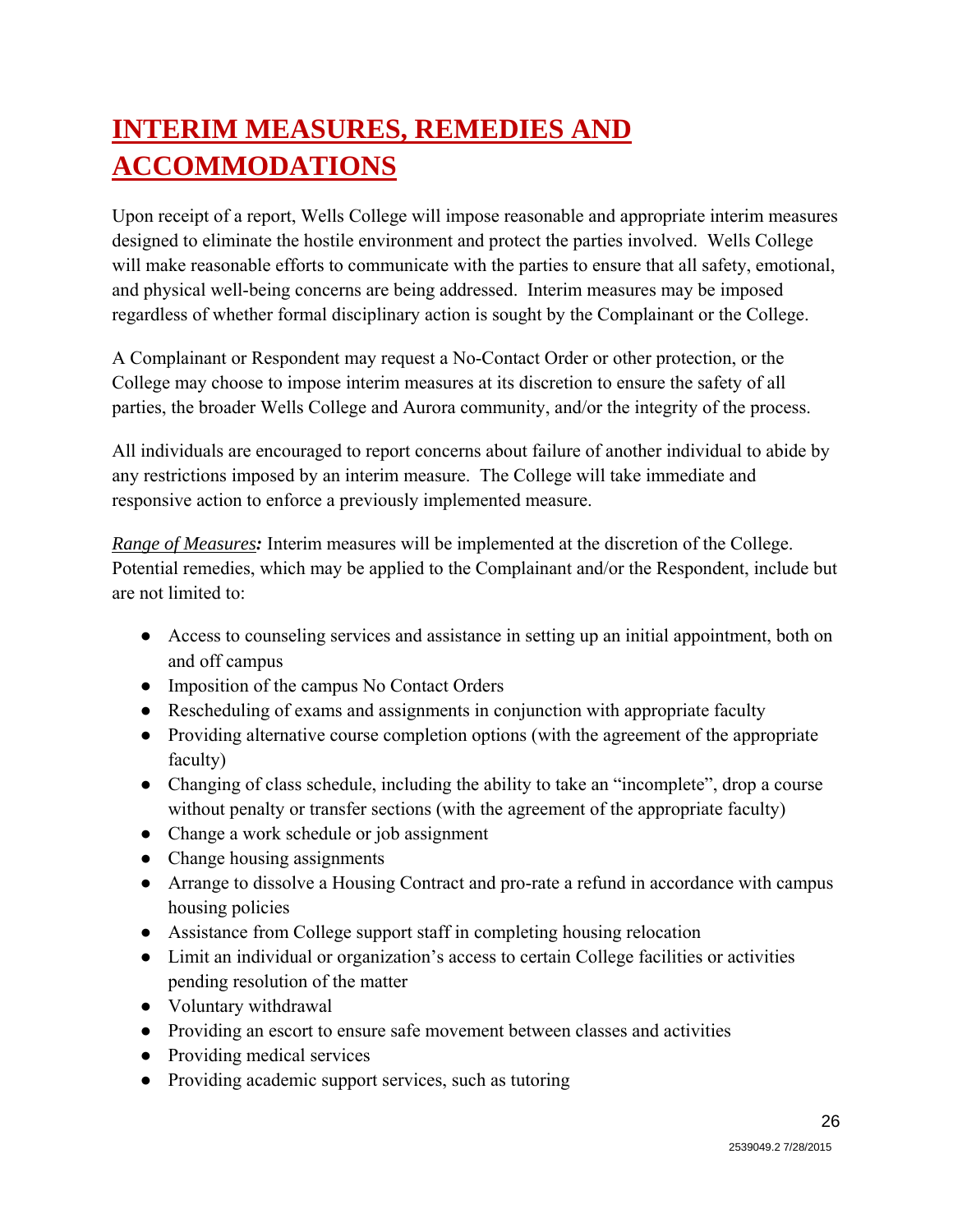# **INTERIM MEASURES, REMEDIES AND ACCOMMODATIONS**

Upon receipt of a report, Wells College will impose reasonable and appropriate interim measures designed to eliminate the hostile environment and protect the parties involved. Wells College will make reasonable efforts to communicate with the parties to ensure that all safety, emotional, and physical well-being concerns are being addressed. Interim measures may be imposed regardless of whether formal disciplinary action is sought by the Complainant or the College.

A Complainant or Respondent may request a No-Contact Order or other protection, or the College may choose to impose interim measures at its discretion to ensure the safety of all parties, the broader Wells College and Aurora community, and/or the integrity of the process.

All individuals are encouraged to report concerns about failure of another individual to abide by any restrictions imposed by an interim measure. The College will take immediate and responsive action to enforce a previously implemented measure.

*Range of Measures:* Interim measures will be implemented at the discretion of the College. Potential remedies, which may be applied to the Complainant and/or the Respondent, include but are not limited to:

- Access to counseling services and assistance in setting up an initial appointment, both on and off campus
- Imposition of the campus No Contact Orders
- Rescheduling of exams and assignments in conjunction with appropriate faculty
- Providing alternative course completion options (with the agreement of the appropriate faculty)
- Changing of class schedule, including the ability to take an "incomplete", drop a course without penalty or transfer sections (with the agreement of the appropriate faculty)
- Change a work schedule or job assignment
- Change housing assignments
- Arrange to dissolve a Housing Contract and pro-rate a refund in accordance with campus housing policies
- Assistance from College support staff in completing housing relocation
- Limit an individual or organization's access to certain College facilities or activities pending resolution of the matter
- Voluntary withdrawal
- Providing an escort to ensure safe movement between classes and activities
- Providing medical services
- Providing academic support services, such as tutoring

26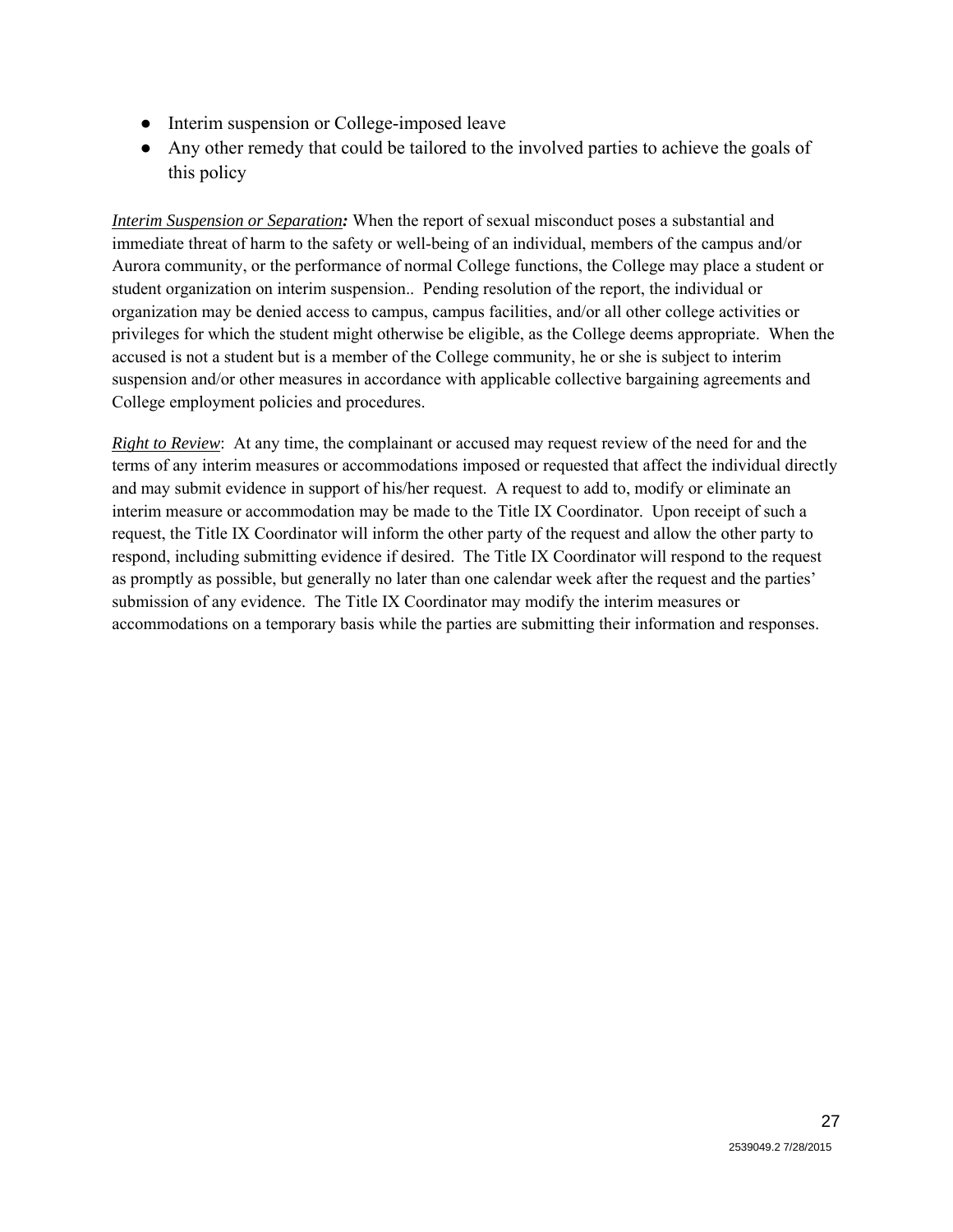- Interim suspension or College-imposed leave
- Any other remedy that could be tailored to the involved parties to achieve the goals of this policy

*Interim Suspension or Separation:* When the report of sexual misconduct poses a substantial and immediate threat of harm to the safety or well-being of an individual, members of the campus and/or Aurora community, or the performance of normal College functions, the College may place a student or student organization on interim suspension.. Pending resolution of the report, the individual or organization may be denied access to campus, campus facilities, and/or all other college activities or privileges for which the student might otherwise be eligible, as the College deems appropriate. When the accused is not a student but is a member of the College community, he or she is subject to interim suspension and/or other measures in accordance with applicable collective bargaining agreements and College employment policies and procedures.

*Right to Review*: At any time, the complainant or accused may request review of the need for and the terms of any interim measures or accommodations imposed or requested that affect the individual directly and may submit evidence in support of his/her request. A request to add to, modify or eliminate an interim measure or accommodation may be made to the Title IX Coordinator. Upon receipt of such a request, the Title IX Coordinator will inform the other party of the request and allow the other party to respond, including submitting evidence if desired. The Title IX Coordinator will respond to the request as promptly as possible, but generally no later than one calendar week after the request and the parties' submission of any evidence. The Title IX Coordinator may modify the interim measures or accommodations on a temporary basis while the parties are submitting their information and responses.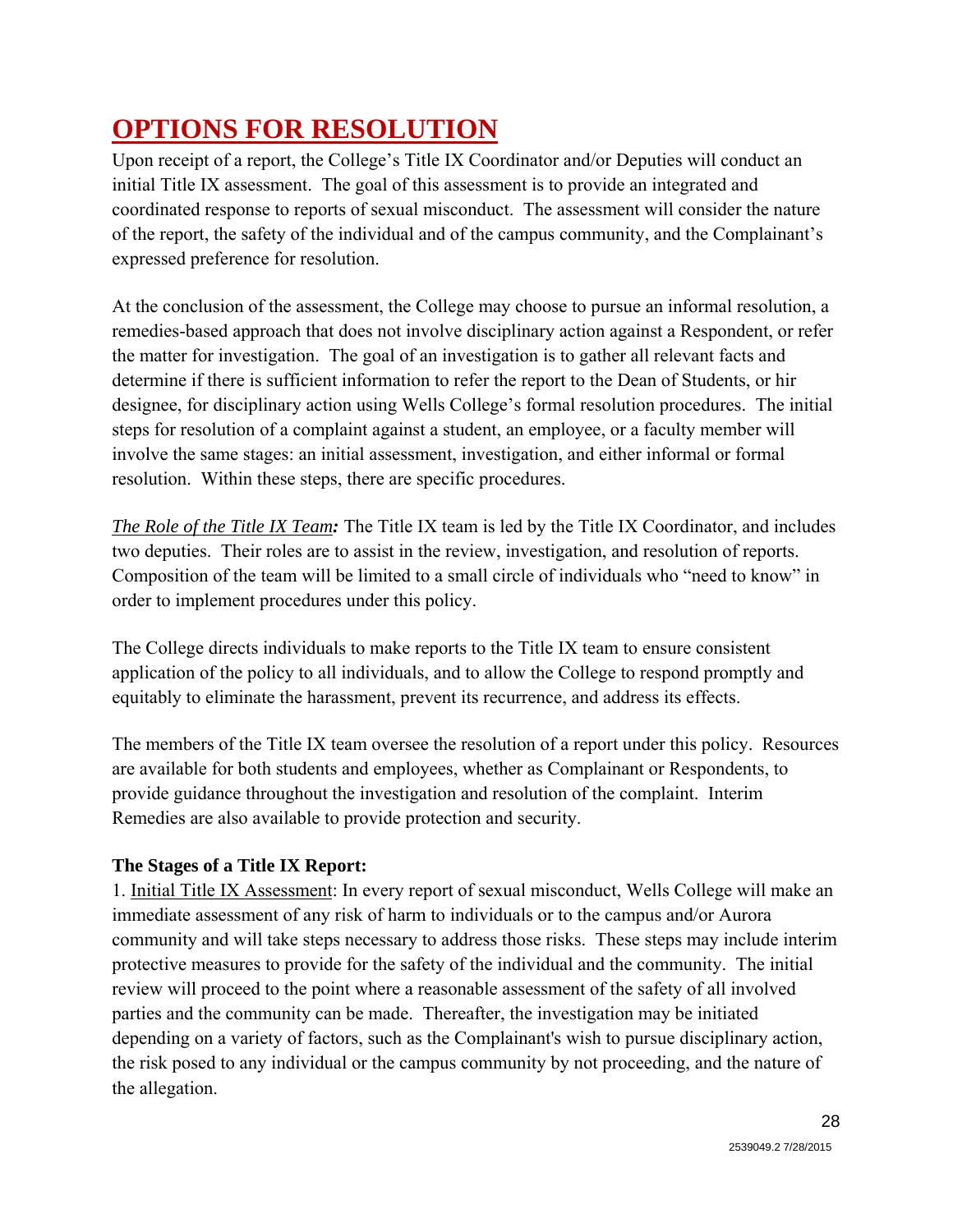# **OPTIONS FOR RESOLUTION**

Upon receipt of a report, the College's Title IX Coordinator and/or Deputies will conduct an initial Title IX assessment. The goal of this assessment is to provide an integrated and coordinated response to reports of sexual misconduct. The assessment will consider the nature of the report, the safety of the individual and of the campus community, and the Complainant's expressed preference for resolution.

At the conclusion of the assessment, the College may choose to pursue an informal resolution, a remedies-based approach that does not involve disciplinary action against a Respondent, or refer the matter for investigation. The goal of an investigation is to gather all relevant facts and determine if there is sufficient information to refer the report to the Dean of Students, or hir designee, for disciplinary action using Wells College's formal resolution procedures. The initial steps for resolution of a complaint against a student, an employee, or a faculty member will involve the same stages: an initial assessment, investigation, and either informal or formal resolution. Within these steps, there are specific procedures.

*The Role of the Title IX Team:* The Title IX team is led by the Title IX Coordinator, and includes two deputies. Their roles are to assist in the review, investigation, and resolution of reports. Composition of the team will be limited to a small circle of individuals who "need to know" in order to implement procedures under this policy.

The College directs individuals to make reports to the Title IX team to ensure consistent application of the policy to all individuals, and to allow the College to respond promptly and equitably to eliminate the harassment, prevent its recurrence, and address its effects.

The members of the Title IX team oversee the resolution of a report under this policy. Resources are available for both students and employees, whether as Complainant or Respondents, to provide guidance throughout the investigation and resolution of the complaint. Interim Remedies are also available to provide protection and security.

### **The Stages of a Title IX Report:**

1. Initial Title IX Assessment: In every report of sexual misconduct, Wells College will make an immediate assessment of any risk of harm to individuals or to the campus and/or Aurora community and will take steps necessary to address those risks. These steps may include interim protective measures to provide for the safety of the individual and the community. The initial review will proceed to the point where a reasonable assessment of the safety of all involved parties and the community can be made. Thereafter, the investigation may be initiated depending on a variety of factors, such as the Complainant's wish to pursue disciplinary action, the risk posed to any individual or the campus community by not proceeding, and the nature of the allegation.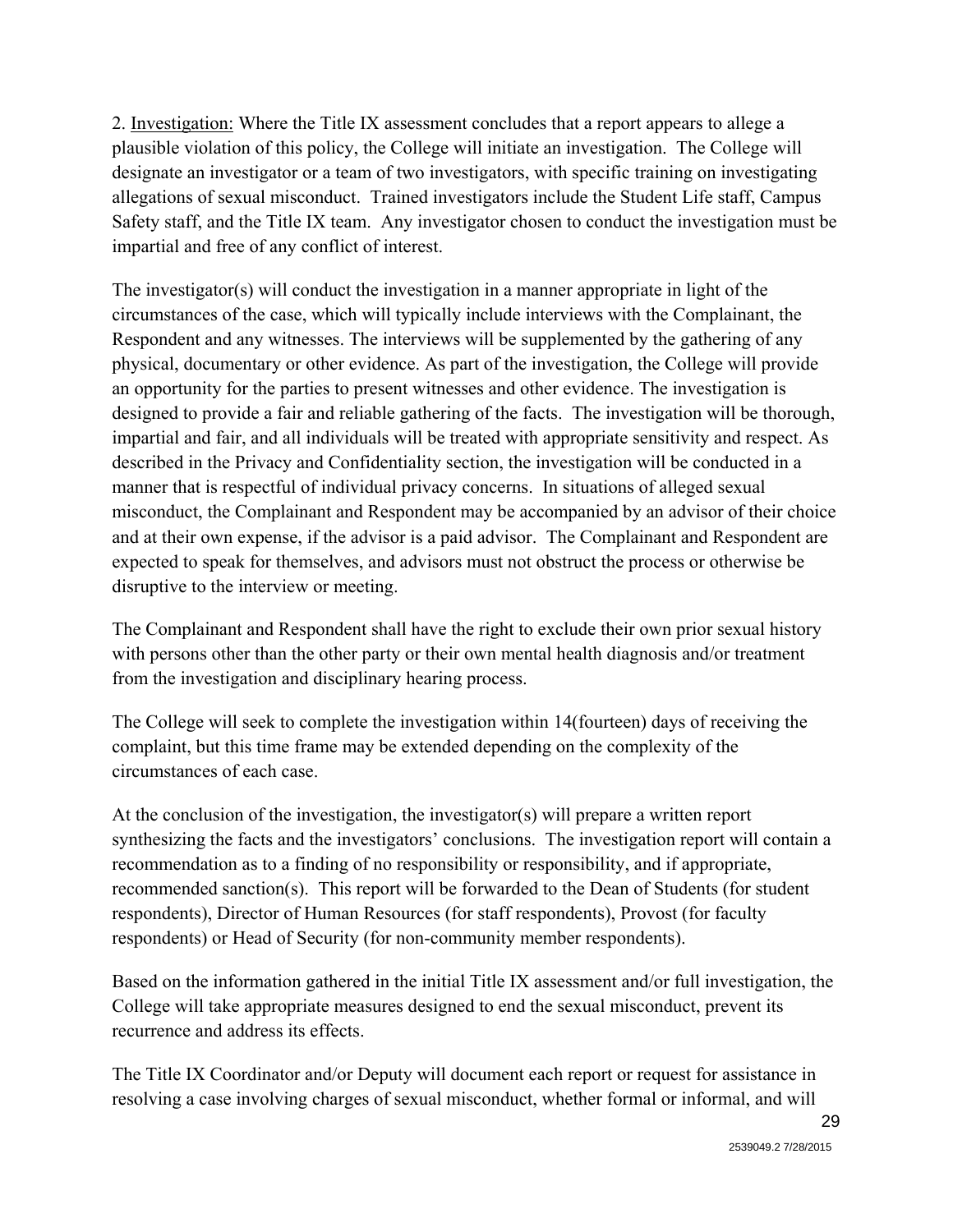2. Investigation: Where the Title IX assessment concludes that a report appears to allege a plausible violation of this policy, the College will initiate an investigation. The College will designate an investigator or a team of two investigators, with specific training on investigating allegations of sexual misconduct. Trained investigators include the Student Life staff, Campus Safety staff, and the Title IX team. Any investigator chosen to conduct the investigation must be impartial and free of any conflict of interest.

The investigator(s) will conduct the investigation in a manner appropriate in light of the circumstances of the case, which will typically include interviews with the Complainant, the Respondent and any witnesses. The interviews will be supplemented by the gathering of any physical, documentary or other evidence. As part of the investigation, the College will provide an opportunity for the parties to present witnesses and other evidence. The investigation is designed to provide a fair and reliable gathering of the facts. The investigation will be thorough, impartial and fair, and all individuals will be treated with appropriate sensitivity and respect. As described in the Privacy and Confidentiality section, the investigation will be conducted in a manner that is respectful of individual privacy concerns. In situations of alleged sexual misconduct, the Complainant and Respondent may be accompanied by an advisor of their choice and at their own expense, if the advisor is a paid advisor. The Complainant and Respondent are expected to speak for themselves, and advisors must not obstruct the process or otherwise be disruptive to the interview or meeting.

The Complainant and Respondent shall have the right to exclude their own prior sexual history with persons other than the other party or their own mental health diagnosis and/or treatment from the investigation and disciplinary hearing process.

The College will seek to complete the investigation within 14(fourteen) days of receiving the complaint, but this time frame may be extended depending on the complexity of the circumstances of each case.

At the conclusion of the investigation, the investigator(s) will prepare a written report synthesizing the facts and the investigators' conclusions. The investigation report will contain a recommendation as to a finding of no responsibility or responsibility, and if appropriate, recommended sanction(s). This report will be forwarded to the Dean of Students (for student respondents), Director of Human Resources (for staff respondents), Provost (for faculty respondents) or Head of Security (for non-community member respondents).

Based on the information gathered in the initial Title IX assessment and/or full investigation, the College will take appropriate measures designed to end the sexual misconduct, prevent its recurrence and address its effects.

The Title IX Coordinator and/or Deputy will document each report or request for assistance in resolving a case involving charges of sexual misconduct, whether formal or informal, and will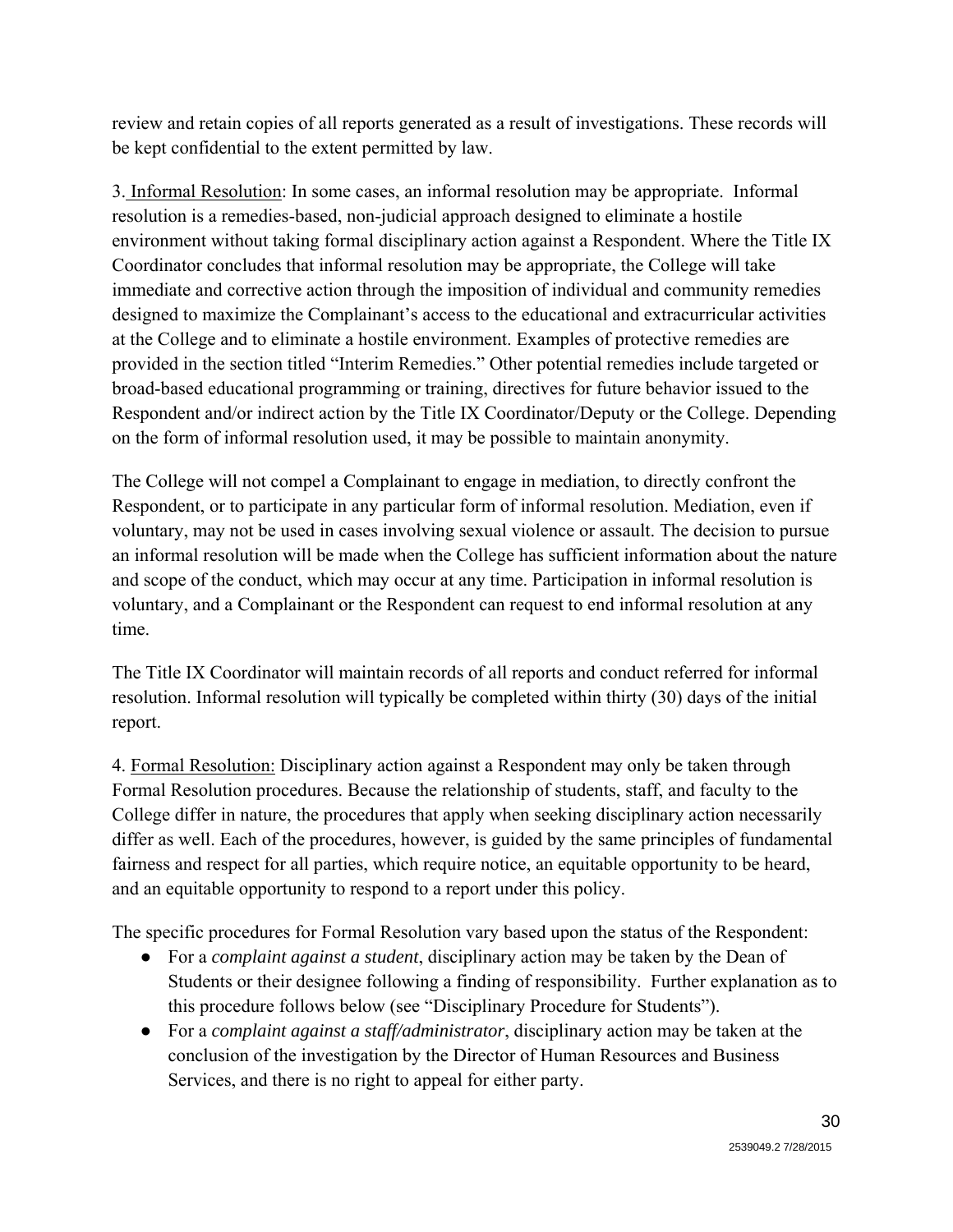review and retain copies of all reports generated as a result of investigations. These records will be kept confidential to the extent permitted by law.

3. Informal Resolution: In some cases, an informal resolution may be appropriate. Informal resolution is a remedies-based, non-judicial approach designed to eliminate a hostile environment without taking formal disciplinary action against a Respondent. Where the Title IX Coordinator concludes that informal resolution may be appropriate, the College will take immediate and corrective action through the imposition of individual and community remedies designed to maximize the Complainant's access to the educational and extracurricular activities at the College and to eliminate a hostile environment. Examples of protective remedies are provided in the section titled "Interim Remedies." Other potential remedies include targeted or broad-based educational programming or training, directives for future behavior issued to the Respondent and/or indirect action by the Title IX Coordinator/Deputy or the College. Depending on the form of informal resolution used, it may be possible to maintain anonymity.

The College will not compel a Complainant to engage in mediation, to directly confront the Respondent, or to participate in any particular form of informal resolution. Mediation, even if voluntary, may not be used in cases involving sexual violence or assault. The decision to pursue an informal resolution will be made when the College has sufficient information about the nature and scope of the conduct, which may occur at any time. Participation in informal resolution is voluntary, and a Complainant or the Respondent can request to end informal resolution at any time.

The Title IX Coordinator will maintain records of all reports and conduct referred for informal resolution. Informal resolution will typically be completed within thirty (30) days of the initial report.

4. Formal Resolution: Disciplinary action against a Respondent may only be taken through Formal Resolution procedures. Because the relationship of students, staff, and faculty to the College differ in nature, the procedures that apply when seeking disciplinary action necessarily differ as well. Each of the procedures, however, is guided by the same principles of fundamental fairness and respect for all parties, which require notice, an equitable opportunity to be heard, and an equitable opportunity to respond to a report under this policy.

The specific procedures for Formal Resolution vary based upon the status of the Respondent:

- For a *complaint against a student*, disciplinary action may be taken by the Dean of Students or their designee following a finding of responsibility. Further explanation as to this procedure follows below (see "Disciplinary Procedure for Students").
- For a *complaint against a staff/administrator*, disciplinary action may be taken at the conclusion of the investigation by the Director of Human Resources and Business Services, and there is no right to appeal for either party.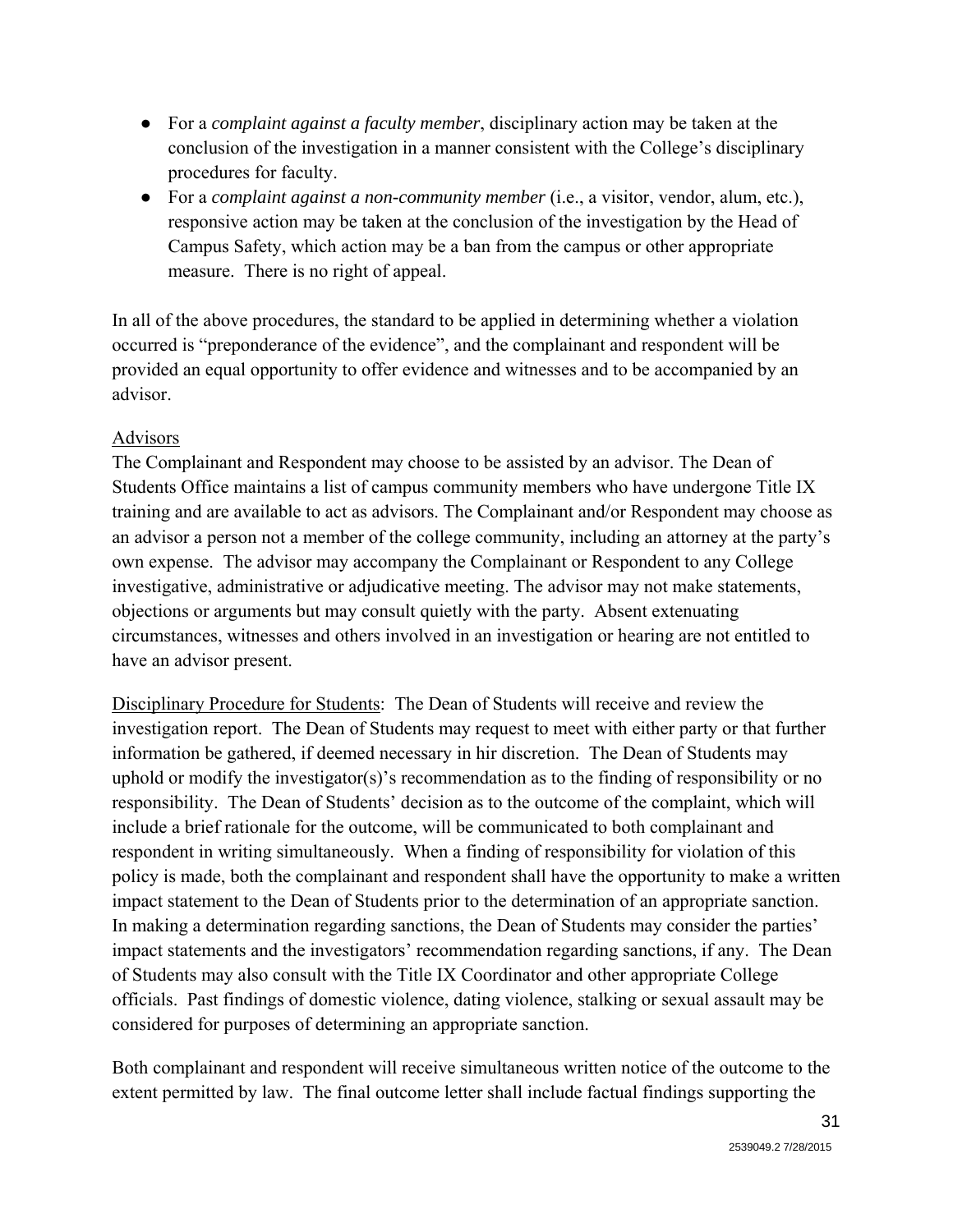- For a *complaint against a faculty member*, disciplinary action may be taken at the conclusion of the investigation in a manner consistent with the College's disciplinary procedures for faculty.
- For a *complaint against a non-community member* (i.e., a visitor, vendor, alum, etc.), responsive action may be taken at the conclusion of the investigation by the Head of Campus Safety, which action may be a ban from the campus or other appropriate measure. There is no right of appeal.

In all of the above procedures, the standard to be applied in determining whether a violation occurred is "preponderance of the evidence", and the complainant and respondent will be provided an equal opportunity to offer evidence and witnesses and to be accompanied by an advisor.

#### Advisors

The Complainant and Respondent may choose to be assisted by an advisor. The Dean of Students Office maintains a list of campus community members who have undergone Title IX training and are available to act as advisors. The Complainant and/or Respondent may choose as an advisor a person not a member of the college community, including an attorney at the party's own expense. The advisor may accompany the Complainant or Respondent to any College investigative, administrative or adjudicative meeting. The advisor may not make statements, objections or arguments but may consult quietly with the party. Absent extenuating circumstances, witnesses and others involved in an investigation or hearing are not entitled to have an advisor present.

Disciplinary Procedure for Students: The Dean of Students will receive and review the investigation report. The Dean of Students may request to meet with either party or that further information be gathered, if deemed necessary in hir discretion. The Dean of Students may uphold or modify the investigator(s)'s recommendation as to the finding of responsibility or no responsibility. The Dean of Students' decision as to the outcome of the complaint, which will include a brief rationale for the outcome, will be communicated to both complainant and respondent in writing simultaneously. When a finding of responsibility for violation of this policy is made, both the complainant and respondent shall have the opportunity to make a written impact statement to the Dean of Students prior to the determination of an appropriate sanction. In making a determination regarding sanctions, the Dean of Students may consider the parties' impact statements and the investigators' recommendation regarding sanctions, if any. The Dean of Students may also consult with the Title IX Coordinator and other appropriate College officials. Past findings of domestic violence, dating violence, stalking or sexual assault may be considered for purposes of determining an appropriate sanction.

Both complainant and respondent will receive simultaneous written notice of the outcome to the extent permitted by law. The final outcome letter shall include factual findings supporting the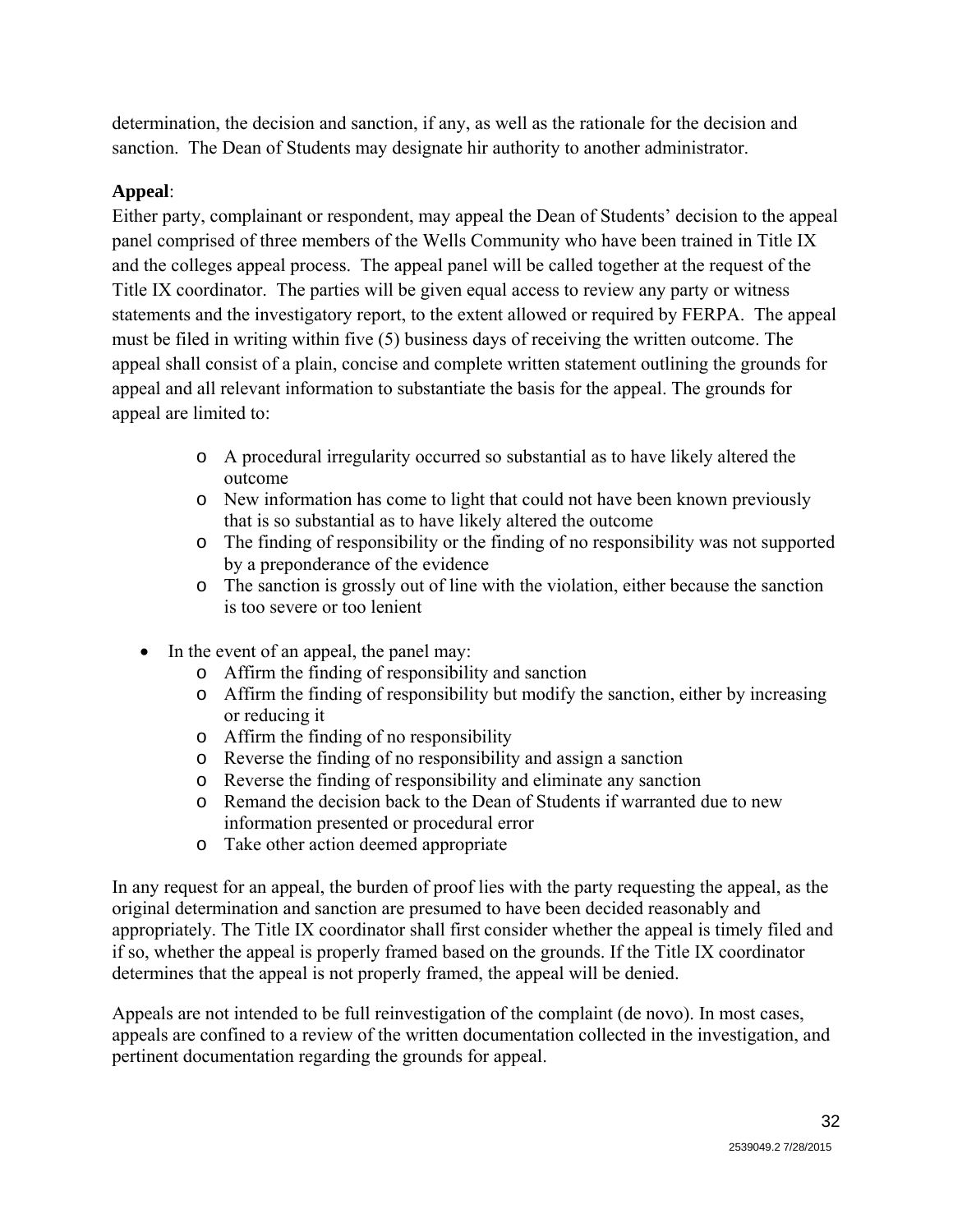determination, the decision and sanction, if any, as well as the rationale for the decision and sanction. The Dean of Students may designate hir authority to another administrator.

### **Appeal**:

Either party, complainant or respondent, may appeal the Dean of Students' decision to the appeal panel comprised of three members of the Wells Community who have been trained in Title IX and the colleges appeal process. The appeal panel will be called together at the request of the Title IX coordinator. The parties will be given equal access to review any party or witness statements and the investigatory report, to the extent allowed or required by FERPA. The appeal must be filed in writing within five (5) business days of receiving the written outcome. The appeal shall consist of a plain, concise and complete written statement outlining the grounds for appeal and all relevant information to substantiate the basis for the appeal. The grounds for appeal are limited to:

- o A procedural irregularity occurred so substantial as to have likely altered the outcome
- o New information has come to light that could not have been known previously that is so substantial as to have likely altered the outcome
- o The finding of responsibility or the finding of no responsibility was not supported by a preponderance of the evidence
- o The sanction is grossly out of line with the violation, either because the sanction is too severe or too lenient
- In the event of an appeal, the panel may:
	- o Affirm the finding of responsibility and sanction
	- o Affirm the finding of responsibility but modify the sanction, either by increasing or reducing it
	- o Affirm the finding of no responsibility
	- o Reverse the finding of no responsibility and assign a sanction
	- o Reverse the finding of responsibility and eliminate any sanction
	- o Remand the decision back to the Dean of Students if warranted due to new information presented or procedural error
	- o Take other action deemed appropriate

In any request for an appeal, the burden of proof lies with the party requesting the appeal, as the original determination and sanction are presumed to have been decided reasonably and appropriately. The Title IX coordinator shall first consider whether the appeal is timely filed and if so, whether the appeal is properly framed based on the grounds. If the Title IX coordinator determines that the appeal is not properly framed, the appeal will be denied.

Appeals are not intended to be full reinvestigation of the complaint (de novo). In most cases, appeals are confined to a review of the written documentation collected in the investigation, and pertinent documentation regarding the grounds for appeal.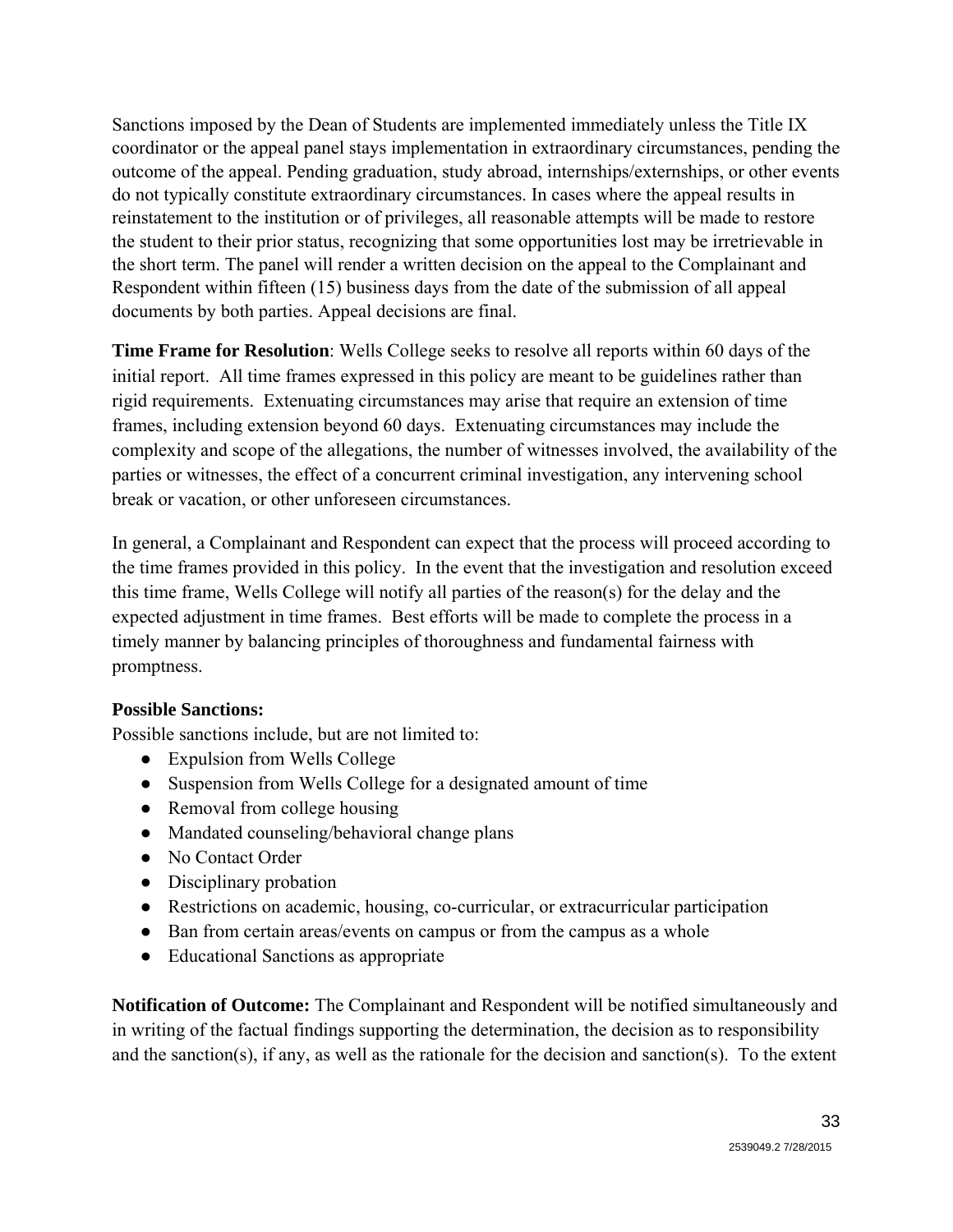Sanctions imposed by the Dean of Students are implemented immediately unless the Title IX coordinator or the appeal panel stays implementation in extraordinary circumstances, pending the outcome of the appeal. Pending graduation, study abroad, internships/externships, or other events do not typically constitute extraordinary circumstances. In cases where the appeal results in reinstatement to the institution or of privileges, all reasonable attempts will be made to restore the student to their prior status, recognizing that some opportunities lost may be irretrievable in the short term. The panel will render a written decision on the appeal to the Complainant and Respondent within fifteen (15) business days from the date of the submission of all appeal documents by both parties. Appeal decisions are final.

**Time Frame for Resolution**: Wells College seeks to resolve all reports within 60 days of the initial report. All time frames expressed in this policy are meant to be guidelines rather than rigid requirements. Extenuating circumstances may arise that require an extension of time frames, including extension beyond 60 days. Extenuating circumstances may include the complexity and scope of the allegations, the number of witnesses involved, the availability of the parties or witnesses, the effect of a concurrent criminal investigation, any intervening school break or vacation, or other unforeseen circumstances.

In general, a Complainant and Respondent can expect that the process will proceed according to the time frames provided in this policy. In the event that the investigation and resolution exceed this time frame, Wells College will notify all parties of the reason(s) for the delay and the expected adjustment in time frames. Best efforts will be made to complete the process in a timely manner by balancing principles of thoroughness and fundamental fairness with promptness.

#### **Possible Sanctions:**

Possible sanctions include, but are not limited to:

- Expulsion from Wells College
- Suspension from Wells College for a designated amount of time
- Removal from college housing
- Mandated counseling/behavioral change plans
- No Contact Order
- Disciplinary probation
- Restrictions on academic, housing, co-curricular, or extracurricular participation
- Ban from certain areas/events on campus or from the campus as a whole
- Educational Sanctions as appropriate

**Notification of Outcome:** The Complainant and Respondent will be notified simultaneously and in writing of the factual findings supporting the determination, the decision as to responsibility and the sanction(s), if any, as well as the rationale for the decision and sanction(s). To the extent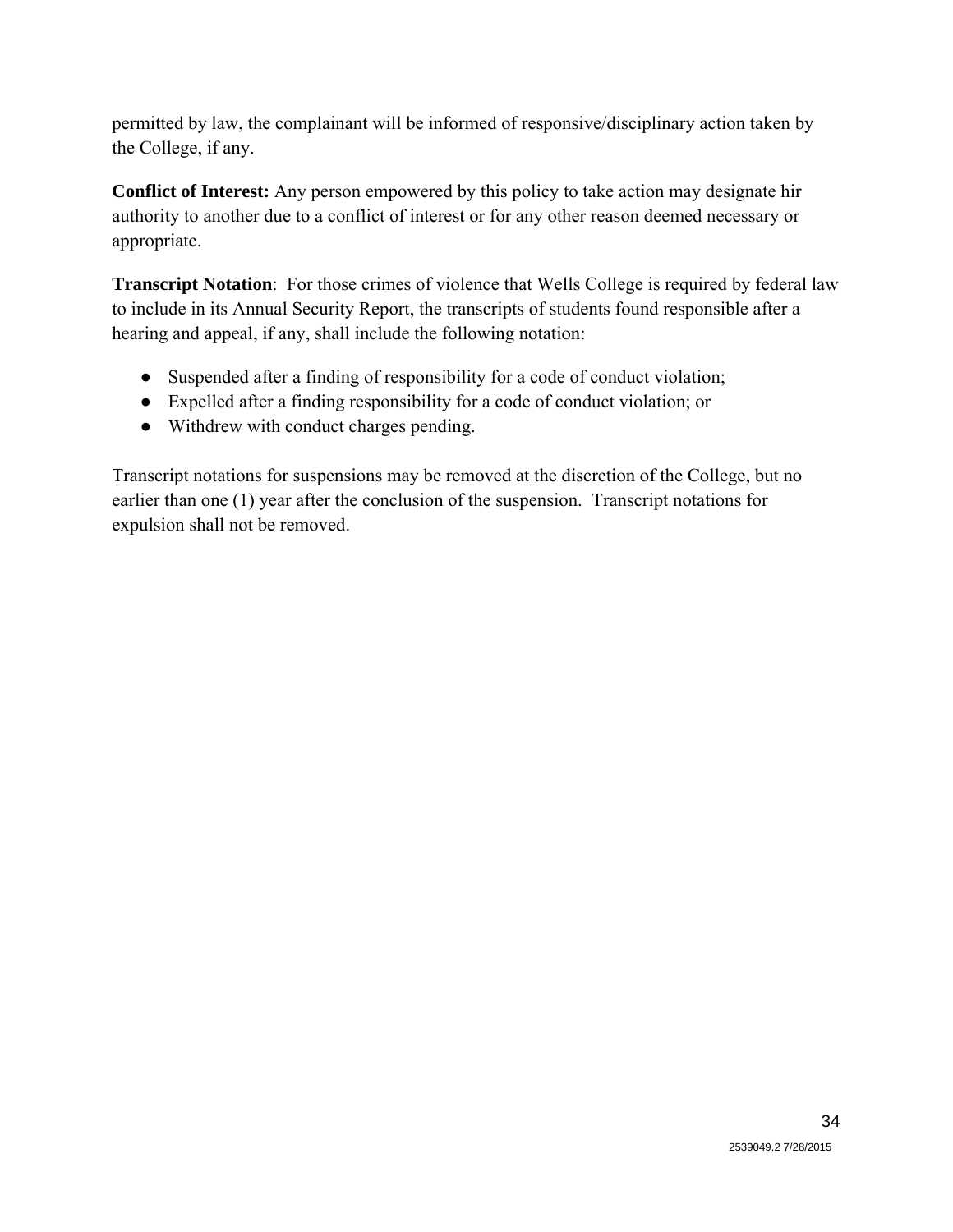permitted by law, the complainant will be informed of responsive/disciplinary action taken by the College, if any.

**Conflict of Interest:** Any person empowered by this policy to take action may designate hir authority to another due to a conflict of interest or for any other reason deemed necessary or appropriate.

**Transcript Notation**: For those crimes of violence that Wells College is required by federal law to include in its Annual Security Report, the transcripts of students found responsible after a hearing and appeal, if any, shall include the following notation:

- Suspended after a finding of responsibility for a code of conduct violation;
- Expelled after a finding responsibility for a code of conduct violation; or
- Withdrew with conduct charges pending.

Transcript notations for suspensions may be removed at the discretion of the College, but no earlier than one (1) year after the conclusion of the suspension. Transcript notations for expulsion shall not be removed.